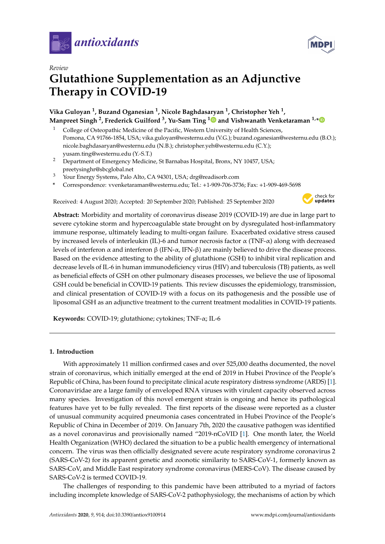



# *Review* **Glutathione Supplementation as an Adjunctive Therapy in COVID-19**

# **Vika Guloyan <sup>1</sup> , Buzand Oganesian <sup>1</sup> , Nicole Baghdasaryan <sup>1</sup> , Christopher Yeh <sup>1</sup> , Manpreet Singh <sup>2</sup> , Frederick Guilford <sup>3</sup> , Yu-Sam Ting [1](https://orcid.org/0000-0003-2596-8176) and Vishwanath Venketaraman 1,[\\*](https://orcid.org/0000-0002-2586-1160)**

- <sup>1</sup> College of Osteopathic Medicine of the Pacific, Western University of Health Sciences, Pomona, CA 91766-1854, USA; vika.guloyan@westernu.edu (V.G.); buzand.oganesian@westernu.edu (B.O.); nicole.baghdasaryan@westernu.edu (N.B.); christopher.yeh@westernu.edu (C.Y.); yusam.ting@westernu.edu (Y.-S.T.)
- <sup>2</sup> Department of Emergency Medicine, St Barnabas Hospital, Bronx, NY 10457, USA; preetysinghr@sbcglobal.net
- <sup>3</sup> Your Energy Systems, Palo Alto, CA 94301, USA; drg@readisorb.com
- **\*** Correspondence: vvenketaraman@westernu.edu; Tel.: +1-909-706-3736; Fax: +1-909-469-5698

Received: 4 August 2020; Accepted: 20 September 2020; Published: 25 September 2020



**Abstract:** Morbidity and mortality of coronavirus disease 2019 (COVID-19) are due in large part to severe cytokine storm and hypercoagulable state brought on by dysregulated host-inflammatory immune response, ultimately leading to multi-organ failure. Exacerbated oxidative stress caused by increased levels of interleukin (IL)-6 and tumor necrosis factor  $\alpha$  (TNF- $\alpha$ ) along with decreased levels of interferon α and interferon β (IFN-α, IFN-β) are mainly believed to drive the disease process. Based on the evidence attesting to the ability of glutathione (GSH) to inhibit viral replication and decrease levels of IL-6 in human immunodeficiency virus (HIV) and tuberculosis (TB) patients, as well as beneficial effects of GSH on other pulmonary diseases processes, we believe the use of liposomal GSH could be beneficial in COVID-19 patients. This review discusses the epidemiology, transmission, and clinical presentation of COVID-19 with a focus on its pathogenesis and the possible use of liposomal GSH as an adjunctive treatment to the current treatment modalities in COVID-19 patients.

**Keywords:** COVID-19; glutathione; cytokines; TNF-α; IL-6

# **1. Introduction**

With approximately 11 million confirmed cases and over 525,000 deaths documented, the novel strain of coronavirus, which initially emerged at the end of 2019 in Hubei Province of the People's Republic of China, has been found to precipitate clinical acute respiratory distress syndrome (ARDS) [\[1\]](#page-15-0). Coronaviridae are a large family of enveloped RNA viruses with virulent capacity observed across many species. Investigation of this novel emergent strain is ongoing and hence its pathological features have yet to be fully revealed. The first reports of the disease were reported as a cluster of unusual community acquired pneumonia cases concentrated in Hubei Province of the People's Republic of China in December of 2019. On January 7th, 2020 the causative pathogen was identified as a novel coronavirus and provisionally named "2019-nCoVID [\[1\]](#page-15-0). One month later, the World Health Organization (WHO) declared the situation to be a public health emergency of international concern. The virus was then officially designated severe acute respiratory syndrome coronavirus 2 (SARS-CoV-2) for its apparent genetic and zoonotic similarity to SARS-CoV-1, formerly known as SARS-CoV, and Middle East respiratory syndrome coronavirus (MERS-CoV). The disease caused by SARS-CoV-2 is termed COVID-19.

The challenges of responding to this pandemic have been attributed to a myriad of factors including incomplete knowledge of SARS-CoV-2 pathophysiology, the mechanisms of action by which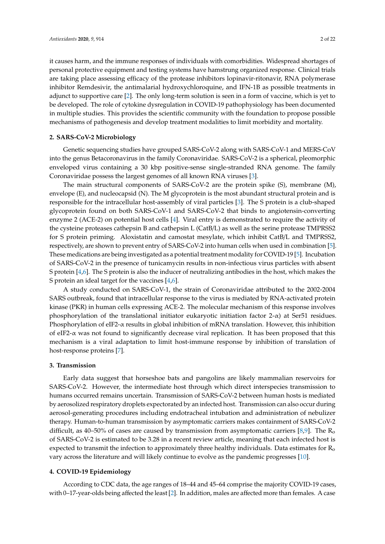it causes harm, and the immune responses of individuals with comorbidities. Widespread shortages of personal protective equipment and testing systems have hamstrung organized response. Clinical trials are taking place assessing efficacy of the protease inhibitors lopinavir-ritonavir, RNA polymerase inhibitor Remdesivir, the antimalarial hydroxychloroquine, and IFN-1B as possible treatments in adjunct to supportive care [\[2\]](#page-15-1). The only long-term solution is seen in a form of vaccine, which is yet to be developed. The role of cytokine dysregulation in COVID-19 pathophysiology has been documented in multiple studies. This provides the scientific community with the foundation to propose possible mechanisms of pathogenesis and develop treatment modalities to limit morbidity and mortality.

# **2. SARS-CoV-2 Microbiology**

Genetic sequencing studies have grouped SARS-CoV-2 along with SARS-CoV-1 and MERS-CoV into the genus Betacoronavirus in the family Coronaviridae. SARS-CoV-2 is a spherical, pleomorphic enveloped virus containing a 30 kbp positive-sense single-stranded RNA genome. The family Coronaviridae possess the largest genomes of all known RNA viruses [\[3\]](#page-15-2).

The main structural components of SARS-CoV-2 are the protein spike (S), membrane (M), envelope (E), and nucleocapsid (N). The M glycoprotein is the most abundant structural protein and is responsible for the intracellular host-assembly of viral particles [\[3\]](#page-15-2). The S protein is a club-shaped glycoprotein found on both SARS-CoV-1 and SARS-CoV-2 that binds to angiotensin-converting enzyme 2 (ACE-2) on potential host cells [\[4\]](#page-15-3). Viral entry is demonstrated to require the activity of the cysteine proteases cathepsin B and cathepsin L (CatB/L) as well as the serine protease TMPRSS2 for S protein priming. Aloxistatin and camostat mesylate, which inhibit CatB/L and TMPRSS2, respectively, are shown to prevent entry of SARS-CoV-2 into human cells when used in combination [\[5\]](#page-15-4). These medications are being investigated as a potential treatment modality for COVID-19 [\[5\]](#page-15-4). Incubation of SARS-CoV-2 in the presence of tunicamycin results in non-infectious virus particles with absent S protein [\[4](#page-15-3)[,6\]](#page-15-5). The S protein is also the inducer of neutralizing antibodies in the host, which makes the S protein an ideal target for the vaccines [\[4,](#page-15-3)[6\]](#page-15-5).

A study conducted on SARS-CoV-1, the strain of Coronaviridae attributed to the 2002-2004 SARS outbreak, found that intracellular response to the virus is mediated by RNA-activated protein kinase (PKR) in human cells expressing ACE-2. The molecular mechanism of this response involves phosphorylation of the translational initiator eukaryotic initiation factor 2-α) at Ser51 residues. Phosphorylation of eIF2- $\alpha$  results in global inhibition of mRNA translation. However, this inhibition of eIF2-α was not found to significantly decrease viral replication. It has been proposed that this mechanism is a viral adaptation to limit host-immune response by inhibition of translation of host-response proteins [\[7\]](#page-15-6).

#### **3. Transmission**

Early data suggest that horseshoe bats and pangolins are likely mammalian reservoirs for SARS-CoV-2. However, the intermediate host through which direct interspecies transmission to humans occurred remains uncertain. Transmission of SARS-CoV-2 between human hosts is mediated by aerosolized respiratory droplets expectorated by an infected host. Transmission can also occur during aerosol-generating procedures including endotracheal intubation and administration of nebulizer therapy. Human-to-human transmission by asymptomatic carriers makes containment of SARS-CoV-2 difficult, as 40–50% of cases are caused by transmission from asymptomatic carriers [\[8](#page-15-7)[,9\]](#page-15-8). The  $R_0$ of SARS-CoV-2 is estimated to be 3.28 in a recent review article, meaning that each infected host is expected to transmit the infection to approximately three healthy individuals. Data estimates for  $R_0$ vary across the literature and will likely continue to evolve as the pandemic progresses [\[10\]](#page-15-9).

# **4. COVID-19 Epidemiology**

According to CDC data, the age ranges of 18–44 and 45–64 comprise the majority COVID-19 cases, with 0–17-year-olds being affected the least [\[2\]](#page-15-1). In addition, males are affected more than females. A case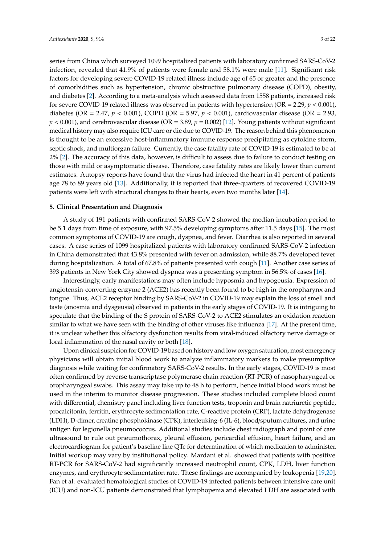series from China which surveyed 1099 hospitalized patients with laboratory confirmed SARS-CoV-2 infection, revealed that 41.9% of patients were female and 58.1% were male [\[11\]](#page-15-10). Significant risk factors for developing severe COVID-19 related illness include age of 65 or greater and the presence of comorbidities such as hypertension, chronic obstructive pulmonary disease (COPD), obesity, and diabetes [\[2\]](#page-15-1). According to a meta-analysis which assessed data from 1558 patients, increased risk for severe COVID-19 related illness was observed in patients with hypertension (OR = 2.29,  $p < 0.001$ ), diabetes (OR = 2.47, *p* < 0.001), COPD (OR = 5.97, *p* < 0.001), cardiovascular disease (OR = 2.93, *p* < 0.001), and cerebrovascular disease (OR = 3.89, *p* = 0.002) [\[12\]](#page-15-11). Young patients without significant medical history may also require ICU care or die due to COVID-19. The reason behind this phenomenon is thought to be an excessive host-inflammatory immune response precipitating as cytokine storm, septic shock, and multiorgan failure. Currently, the case fatality rate of COVID-19 is estimated to be at 2% [\[2\]](#page-15-1). The accuracy of this data, however, is difficult to assess due to failure to conduct testing on those with mild or asymptomatic disease. Therefore, case fatality rates are likely lower than current estimates. Autopsy reports have found that the virus had infected the heart in 41 percent of patients age 78 to 89 years old [\[13\]](#page-15-12). Additionally, it is reported that three-quarters of recovered COVID-19 patients were left with structural changes to their hearts, even two months later [\[14\]](#page-16-0).

#### **5. Clinical Presentation and Diagnosis**

A study of 191 patients with confirmed SARS-CoV-2 showed the median incubation period to be 5.1 days from time of exposure, with 97.5% developing symptoms after 11.5 days [\[15\]](#page-16-1). The most common symptoms of COVID-19 are cough, dyspnea, and fever. Diarrhea is also reported in several cases. A case series of 1099 hospitalized patients with laboratory confirmed SARS-CoV-2 infection in China demonstrated that 43.8% presented with fever on admission, while 88.7% developed fever during hospitalization. A total of 67.8% of patients presented with cough [\[11\]](#page-15-10). Another case series of 393 patients in New York City showed dyspnea was a presenting symptom in 56.5% of cases [\[16\]](#page-16-2).

Interestingly, early manifestations may often include hyposmia and hypogeusia. Expression of angiotensin-converting enzyme 2 (ACE2) has recently been found to be high in the oropharynx and tongue. Thus, ACE2 receptor binding by SARS-CoV-2 in COVID-19 may explain the loss of smell and taste (anosmia and dysgeusia) observed in patients in the early stages of COVID-19. It is intriguing to speculate that the binding of the S protein of SARS-CoV-2 to ACE2 stimulates an oxidation reaction similar to what we have seen with the binding of other viruses like influenza [\[17\]](#page-16-3). At the present time, it is unclear whether this olfactory dysfunction results from viral-induced olfactory nerve damage or local inflammation of the nasal cavity or both [\[18\]](#page-16-4).

Upon clinical suspicion for COVID-19 based on history and low oxygen saturation, most emergency physicians will obtain initial blood work to analyze inflammatory markers to make presumptive diagnosis while waiting for confirmatory SARS-CoV-2 results. In the early stages, COVID-19 is most often confirmed by reverse transcriptase polymerase chain reaction (RT-PCR) of nasopharyngeal or oropharyngeal swabs. This assay may take up to 48 h to perform, hence initial blood work must be used in the interim to monitor disease progression. These studies included complete blood count with differential, chemistry panel including liver function tests, troponin and brain natriuretic peptide, procalcitonin, ferritin, erythrocyte sedimentation rate, C-reactive protein (CRP), lactate dehydrogenase (LDH), D-dimer, creatine phosphokinase (CPK), interleuking-6 (IL-6), blood/sputum cultures, and urine antigen for legionella pneumococcus. Additional studies include chest radiograph and point of care ultrasound to rule out pneumothorax, pleural effusion, pericardial effusion, heart failure, and an electrocardiogram for patient's baseline line QTc for determination of which medication to administer. Initial workup may vary by institutional policy. Mardani et al. showed that patients with positive RT-PCR for SARS-CoV-2 had significantly increased neutrophil count, CPK, LDH, liver function enzymes, and erythrocyte sedimentation rate. These findings are accompanied by leukopenia [\[19,](#page-16-5)[20\]](#page-16-6). Fan et al. evaluated hematological studies of COVID-19 infected patients between intensive care unit (ICU) and non-ICU patients demonstrated that lymphopenia and elevated LDH are associated with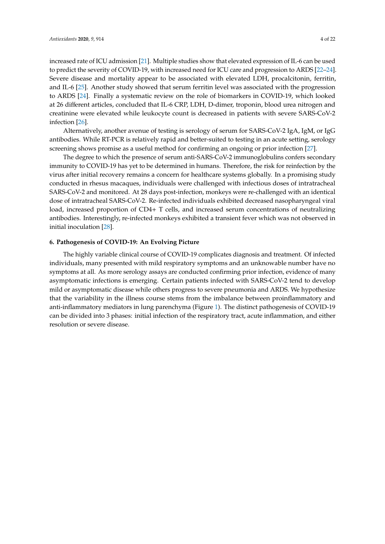increased rate of ICU admission [\[21\]](#page-16-7). Multiple studies show that elevated expression of IL-6 can be used to predict the severity of COVID-19, with increased need for ICU care and progression to ARDS [\[22–](#page-16-8)[24\]](#page-16-9). Severe disease and mortality appear to be associated with elevated LDH, procalcitonin, ferritin, and IL-6 [\[25\]](#page-16-10). Another study showed that serum ferritin level was associated with the progression to ARDS [\[24\]](#page-16-9). Finally a systematic review on the role of biomarkers in COVID-19, which looked at 26 different articles, concluded that IL-6 CRP, LDH, D-dimer, troponin, blood urea nitrogen and creatinine were elevated while leukocyte count is decreased in patients with severe SARS-CoV-2 infection [\[26\]](#page-16-11).

Alternatively, another avenue of testing is serology of serum for SARS-CoV-2 IgA, IgM, or IgG antibodies. While RT-PCR is relatively rapid and better-suited to testing in an acute setting, serology screening shows promise as a useful method for confirming an ongoing or prior infection [\[27\]](#page-16-12).

The degree to which the presence of serum anti-SARS-CoV-2 immunoglobulins confers secondary immunity to COVID-19 has yet to be determined in humans. Therefore, the risk for reinfection by the virus after initial recovery remains a concern for healthcare systems globally. In a promising study conducted in rhesus macaques, individuals were challenged with infectious doses of intratracheal SARS-CoV-2 and monitored. At 28 days post-infection, monkeys were re-challenged with an identical dose of intratracheal SARS-CoV-2. Re-infected individuals exhibited decreased nasopharyngeal viral load, increased proportion of CD4+ T cells, and increased serum concentrations of neutralizing antibodies. Interestingly, re-infected monkeys exhibited a transient fever which was not observed in initial inoculation [\[28\]](#page-16-13).

#### **6. Pathogenesis of COVID-19: An Evolving Picture**

The highly variable clinical course of COVID-19 complicates diagnosis and treatment. Of infected individuals, many presented with mild respiratory symptoms and an unknowable number have no symptoms at all. As more serology assays are conducted confirming prior infection, evidence of many asymptomatic infections is emerging. Certain patients infected with SARS-CoV-2 tend to develop mild or asymptomatic disease while others progress to severe pneumonia and ARDS. We hypothesize that the variability in the illness course stems from the imbalance between proinflammatory and anti-inflammatory mediators in lung parenchyma (Figure [1\)](#page-4-0). The distinct pathogenesis of COVID-19 can be divided into 3 phases: initial infection of the respiratory tract, acute inflammation, and either resolution or severe disease.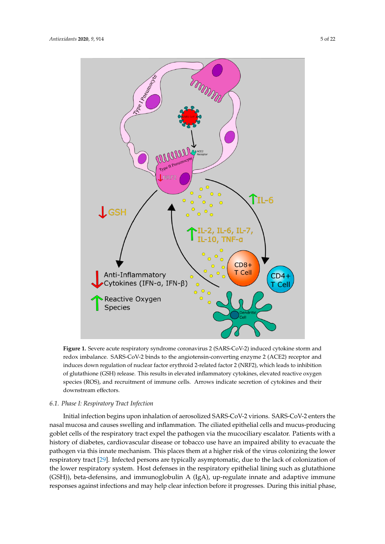<span id="page-4-0"></span>

**Figure 1.** Severe acute respiratory syndrome coronavirus 2 (SARS-CoV-2) induced cytokine storm **Figure 1.** Severe acute respiratory syndrome coronavirus 2 (SARS-CoV-2) induced cytokine storm and and redox imbalance. SARS-CoV-2 binds to the angiotensin-converting enzyme 2 (ACE2) receptor redox imbalance. SARS-CoV-2 binds to the angiotensin-converting enzyme 2 (ACE2) receptor and and induces down regulation of nuclear factor erythroid 2-related factor 2 (NRF2), which leads to induces down regulation of nuclear factor erythroid 2-related factor 2 (NRF2), which leads to inhibition of glutathione (GSH) release. This results in elevated inflammatory cytokines, elevated reactive oxygen species (ROS), and recruitment of immune cells. Arrows indicate secretion of cytokines and their downstream effectors.

# *6.1. Phase I: Respiratory Tract Infection 6.1. Phase I: Respiratory Tract Infection*

Initial infection begins upon inhalation of aerosolized SARS-CoV-2 virions. SARS-CoV-2 enters nasal mucosa and causes swelling and inflammation. The ciliated epithelial cells and mucus-producing the nasal mucosa and causes swelling and inflammation. The ciliated epithelial cells and mucus-goblet cells of the respiratory tract expel the pathogen via the mucociliary escalator. Patients with a producing goblet cells of the respiratory tract expel the pathogen via the mucociliary escalator. history of diabetes, cardiovascular disease or tobacco use have an impaired ability to evacuate the ration y or diabetes, cardiovascular disease or tobacco use have an impaired ability to evaculate the<br>pathogen via this innate mechanism. This places them at a higher risk of the virus colonizing the lower pathogen via this innate mechanism. This places them at a higher risk of the virus colonization denotes respiratory tract [\[29\]](#page-16-14). Infected persons are typically asymptomatic, due to the lack of colonization of colonization the lower respiratory tract colonization  $\alpha$  and the two terms are the total due to the theory of the total due to the total due to the theory of the total due to the total due to the total due to the total d the lower respiratory system. Host defenses in the respiratory epithelial lining such as glutathione  $(CTD)$ (GSH)), beta-defension, and immunoglobulin A (IgA), up-regulate innate and identity in Innate responses against infections and may help clear infection before it progresses. During this initial phase,<br> Initial infection begins upon inhalation of aerosolized SARS-CoV-2 virions. SARS-CoV-2 enters the (GSH)), beta-defensins, and immunoglobulin A (IgA), up-regulate innate and adaptive immune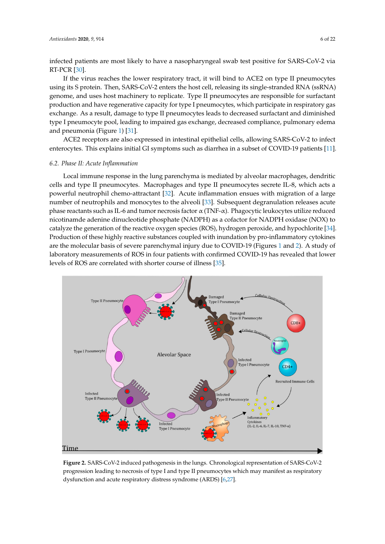infected patients are most likely to have a nasopharyngeal swab test positive for SARS-CoV-2 via RT-PCR [\[30\]](#page-16-15).

If the virus reaches the lower respiratory tract, it will bind to ACE2 on type II pneumocytes using its S protein. Then, SARS-CoV-2 enters the host cell, releasing its single-stranded RNA (ssRNA) genome, and uses host machinery to replicate. Type II pneumocytes are responsible for surfactant production and have regenerative capacity for type I pneumocytes, which participate in respiratory gas exchange. As a result, damage to type II pneumocytes leads to decreased surfactant and diminished type I pneumocyte pool, leading to impaired gas exchange, decreased compliance, pulmonary edema and pneumonia (Figure 1) [\[31\]](#page-16-16).

ACE2 receptors are also expressed in intestinal epithelial cells, allowing SARS-CoV-2 to infect enterocytes. This explains initial GI symptoms such as diarrhea in a subset of COVID-19 patients [\[11\]](#page-15-10). proving IL-2, IL-6, IL-6, IL-6, IL-6, IL-10, IL-6, IL-6, IL-6, IL-7, IL-10, and TNF- $a$ 

## **6.2. Phase II: Acute Inflammation**

Local immune response in the lung parenchyma is mediated by alveolar macrophages, dendritic cells and type II pneumocytes. Macrophages and type II pneumocytes secrete IL-8, which acts a powerful neutrophil chemo-attractant  $[32]$ . Acute inflammation ensues with migration of a large powerted receive pair create anticelling [22]. These maintainables of the ingender of a high number of neutrophils and monocytes to the alveoli [\[33\]](#page-16-18). Subsequent degranulation releases acute rtants of or nearto<sub>p</sub>rins and monocytes to the arroon <sub>[co]</sub>. Subsequent acgrammatori reteases deate<br>phase reactants such as IL-6 and tumor necrosis factor α (TNF-α). Phagocytic leukocytes utilize reduced phase reactants steri as E s and tamer necrosss ractor α (111 a). Thagee) as ceance, the annual related nicotinamde adenine dinucleotide phosphate (NADPH) as a cofactor for NADPH oxidase (NOX) to recommined addrinic antidential prospillite (WIDITI) as a condectively for MIDITI statuse (WO), is<br>catalyze the generation of the reactive oxygen species (ROS), hydrogen peroxide, and hypochlorite [\[34\]](#page-16-19). edualyze are generation of the reactive oxygen speeds (ness), hy arogen personal, and hy pochiomic [34]. are the molecular basis of severe parenchymal injury due to COVID-[1](#page-4-0)9 (Figures 1 and [2\)](#page-5-0). A study of are the incredatal basis of severe pareneity manifying value to be video to the divergent and help. There is a<br>laboratory measurements of ROS in four patients with confirmed COVID-19 has revealed that lower levels of ROS are correlated with shorter course of illness  $[35]$ . inflammatory includes the contraction is observed when the dysregulated ratio of pro-inflammation is a dysregulated ratio of pro-inflammation of pro-inflammation of pro-inflammation of pro-inflammation of pro-inflammation

<span id="page-5-0"></span>

**Figure 2.** SARS-CoV-2 induced pathogenesis in the lungs. Chronological representation of SARS-**Figure 2.** SARS-CoV-2 induced pathogenesis in the lungs. Chronological representation of SARS-CoV-2 progression leading to necrosis of type I and type II pneumocytes which may manifest as respiratory dysfunction and acute respiratory distress syndrome (ARDS) [\[6](#page-15-5)[,27\]](#page-16-12).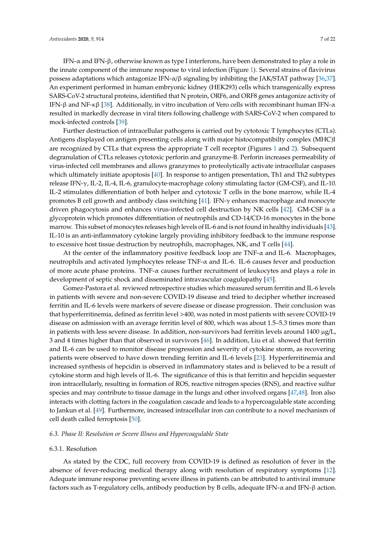IFN-α and IFN-β, otherwise known as type I interferons, have been demonstrated to play a role in the innate component of the immune response to viral infection (Figure [1\)](#page-4-0). Several strains of flavivirus possess adaptations which antagonize IFN-α/β signaling by inhibiting the JAK/STAT pathway [\[36](#page-17-0)[,37\]](#page-17-1). An experiment performed in human embryonic kidney (HEK293) cells which transgenically express SARS-CoV-2 structural proteins, identified that N protein, ORF6, and ORF8 genes antagonize activity of IFN-β and NF-κβ [\[38\]](#page-17-2). Additionally, in vitro incubation of Vero cells with recombinant human IFN-α resulted in markedly decrease in viral titers following challenge with SARS-CoV-2 when compared to mock-infected controls [\[39\]](#page-17-3).

Further destruction of intracellular pathogens is carried out by cytotoxic T lymphocytes (CTLs). Antigens displayed on antigen presenting cells along with major histocompatibilty complex (MHC)I are recognized by CTLs that express the appropriate T cell receptor (Figures [1](#page-4-0) and [2\)](#page-5-0). Subsequent degranulation of CTLs releases cytotoxic perforin and granzyme-B. Perforin increases permeability of virus-infected cell membranes and allows granzymes to proteolytically activate intracellular caspases which ultimately initiate apoptosis [\[40\]](#page-17-4). In response to antigen presentation, Th1 and Th2 subtypes release IFN-γ, IL-2, IL-4, IL-6, granulocyte-macrophage colony stimulating factor (GM-CSF), and IL-10. IL-2 stimulates differentiation of both helper and cytotoxic T cells in the bone marrow, while IL-4 promotes B cell growth and antibody class switching [\[41\]](#page-17-5). IFN-γ enhances macrophage and monocyte driven phagocytosis and enhances virus-infected cell destruction by NK cells [\[42\]](#page-17-6). GM-CSF is a glycoprotein which promotes differentiation of neutrophils and CD-14/CD-16 monocytes in the bone marrow. This subset of monocytes releases high levels of IL-6 and is not found in healthy individuals [\[43\]](#page-17-7). IL-10 is an anti-inflammatory cytokine largely providing inhibitory feedback to the immune response to excessive host tissue destruction by neutrophils, macrophages, NK, and T cells [\[44\]](#page-17-8).

At the center of the inflammatory positive feedback loop are  $TNF-\alpha$  and IL-6. Macrophages, neutrophils and activated lymphocytes release TNF-α and IL-6. IL-6 causes fever and production of more acute phase proteins. TNF- $\alpha$  causes further recruitment of leukocytes and plays a role in development of septic shock and disseminated intravascular coagulopathy [\[45\]](#page-17-9).

Gomez-Pastora et al. reviewed retrospective studies which measured serum ferritin and IL-6 levels in patients with severe and non-severe COVID-19 disease and tried to decipher whether increased ferritin and IL-6 levels were markers of severe disease or disease progression. Their conclusion was that hyperferritinemia, defined as ferritin level >400, was noted in most patients with severe COVID-19 disease on admission with an average ferritin level of 800, which was about 1.5–5.3 times more than in patients with less severe disease. In addition, non-survivors had ferritin levels around 1400  $\mu$ g/L, 3 and 4 times higher than that observed in survivors [\[46\]](#page-17-10). In addition, Liu et al. showed that ferritin and IL-6 can be used to monitor disease progression and severity of cytokine storm, as recovering patients were observed to have down trending ferritin and IL-6 levels [\[23\]](#page-16-21). Hyperferritinemia and increased synthesis of hepcidin is observed in inflammatory states and is believed to be a result of cytokine storm and high levels of IL-6. The significance of this is that ferritin and hepcidin sequester iron intracellularly, resulting in formation of ROS, reactive nitrogen species (RNS), and reactive sulfur species and may contribute to tissue damage in the lungs and other involved organs [\[47,](#page-17-11)[48\]](#page-17-12). Iron also interacts with clotting factors in the coagulation cascade and leads to a hypercoagulable state according to Jankun et al. [\[49\]](#page-17-13). Furthermore, increased intracellular iron can contribute to a novel mechanism of cell death called ferroptosis [\[50\]](#page-17-14).

## *6.3. Phase II: Resolution or Severe Illness and Hypercoagulable State*

#### 6.3.1. Resolution

As stated by the CDC, full recovery from COVID-19 is defined as resolution of fever in the absence of fever-reducing medical therapy along with resolution of respiratory symptoms [\[12\]](#page-15-11). Adequate immune response preventing severe illness in patients can be attributed to antiviral immune factors such as T-regulatory cells, antibody production by B cells, adequate IFN-α and IFN-β action.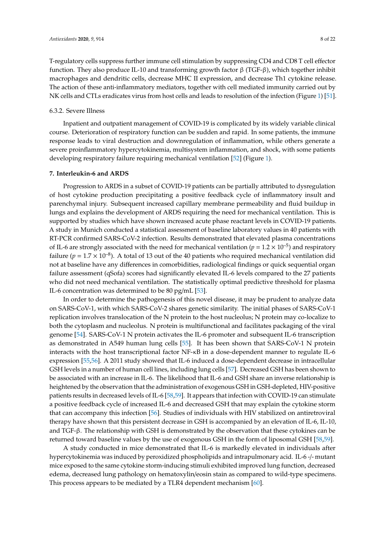T-regulatory cells suppress further immune cell stimulation by suppressing CD4 and CD8 T cell effector function. They also produce IL-10 and transforming growth factor β (TGF-β), which together inhibit macrophages and dendritic cells, decrease MHC II expression, and decrease Th1 cytokine release. The action of these anti-inflammatory mediators, together with cell mediated immunity carried out by NK cells and CTLs eradicates virus from host cells and leads to resolution of the infection (Figure [1\)](#page-4-0) [\[51\]](#page-17-15).

#### 6.3.2. Severe Illness

Inpatient and outpatient management of COVID-19 is complicated by its widely variable clinical course. Deterioration of respiratory function can be sudden and rapid. In some patients, the immune response leads to viral destruction and downregulation of inflammation, while others generate a severe proinflammatory hypercytokinemia, multisystem inflammation, and shock, with some patients developing respiratory failure requiring mechanical ventilation [\[52\]](#page-17-16) (Figure [1\)](#page-4-0).

#### **7. Interleukin-6 and ARDS**

Progression to ARDS in a subset of COVID-19 patients can be partially attributed to dysregulation of host cytokine production precipitating a positive feedback cycle of inflammatory insult and parenchymal injury. Subsequent increased capillary membrane permeability and fluid buildup in lungs and explains the development of ARDS requiring the need for mechanical ventilation. This is supported by studies which have shown increased acute phase reactant levels in COVID-19 patients. A study in Munich conducted a statistical assessment of baseline laboratory values in 40 patients with RT-PCR confirmed SARS-CoV-2 infection. Results demonstrated that elevated plasma concentrations of IL-6 are strongly associated with the need for mechanical ventilation ( $p = 1.2 \times 10^{-5}$ ) and respiratory failure ( $p = 1.7 \times 10^{-8}$ ). A total of 13 out of the 40 patients who required mechanical ventilation did not at baseline have any differences in comorbidities, radiological findings or quick sequential organ failure assessment (qSofa) scores had significantly elevated IL-6 levels compared to the 27 patients who did not need mechanical ventilation. The statistically optimal predictive threshold for plasma IL-6 concentration was determined to be 80 pg/mL [\[53\]](#page-17-17).

In order to determine the pathogenesis of this novel disease, it may be prudent to analyze data on SARS-CoV-1, with which SARS-CoV-2 shares genetic similarity. The initial phases of SARS-CoV-1 replication involves translocation of the N protein to the host nucleolus; N protein may co-localize to both the cytoplasm and nucleolus. N protein is multifunctional and facilitates packaging of the viral genome [\[54\]](#page-17-18). SARS-CoV-1 N protein activates the IL-6 promoter and subsequent IL-6 transcription as demonstrated in A549 human lung cells [\[55\]](#page-17-19). It has been shown that SARS-CoV-1 N protein interacts with the host transcriptional factor NF-κB in a dose-dependent manner to regulate IL-6 expression [\[55,](#page-17-19)[56\]](#page-17-20). A 2011 study showed that IL-6 induced a dose-dependent decrease in intracellular GSH levels in a number of human cell lines, including lung cells [\[57\]](#page-18-0). Decreased GSH has been shown to be associated with an increase in IL-6. The likelihood that IL-6 and GSH share an inverse relationship is heightened by the observation that the administration of exogenous GSH in GSH-depleted, HIV-positive patients results in decreased levels of IL-6 [\[58](#page-18-1)[,59\]](#page-18-2). It appears that infection with COVID-19 can stimulate a positive feedback cycle of increased IL-6 and decreased GSH that may explain the cytokine storm that can accompany this infection [\[56\]](#page-17-20). Studies of individuals with HIV stabilized on antiretroviral therapy have shown that this persistent decrease in GSH is accompanied by an elevation of IL-6, IL-10, and TGF-β. The relationship with GSH is demonstrated by the observation that these cytokines can be returned toward baseline values by the use of exogenous GSH in the form of liposomal GSH [\[58,](#page-18-1)[59\]](#page-18-2).

A study conducted in mice demonstrated that IL-6 is markedly elevated in individuals after hypercytokinemia was induced by peroxidized phospholipids and intrapulmonary acid. IL-6 -/- mutant mice exposed to the same cytokine storm-inducing stimuli exhibited improved lung function, decreased edema, decreased lung pathology on hematoxylin/eosin stain as compared to wild-type specimens. This process appears to be mediated by a TLR4 dependent mechanism [\[60\]](#page-18-3).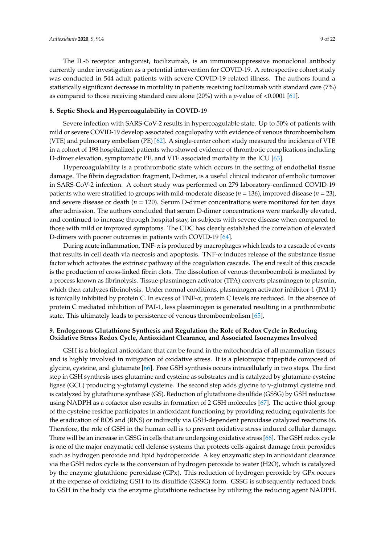The IL-6 receptor antagonist, tocilizumab, is an immunosuppressive monoclonal antibody currently under investigation as a potential intervention for COVID-19. A retrospective cohort study was conducted in 544 adult patients with severe COVID-19 related illness. The authors found a statistically significant decrease in mortality in patients receiving tocilizumab with standard care (7%) as compared to those receiving standard care alone (20%) with a *p*-value of <0.0001 [\[61\]](#page-18-4).

## **8. Septic Shock and Hypercoagulability in COVID-19**

Severe infection with SARS-CoV-2 results in hypercoagulable state. Up to 50% of patients with mild or severe COVID-19 develop associated coagulopathy with evidence of venous thromboembolism (VTE) and pulmonary embolism (PE) [\[62\]](#page-18-5). A single-center cohort study measured the incidence of VTE in a cohort of 198 hospitalized patients who showed evidence of thrombotic complications including D-dimer elevation, symptomatic PE, and VTE associated mortality in the ICU [\[63\]](#page-18-6).

Hypercoagulability is a prothrombotic state which occurs in the setting of endothelial tissue damage. The fibrin degradation fragment, D-dimer, is a useful clinical indicator of embolic turnover in SARS-CoV-2 infection. A cohort study was performed on 279 laboratory-confirmed COVID-19 patients who were stratified to groups with mild-moderate disease (*n* = 136), improved disease (*n* = 23), and severe disease or death (*n* = 120). Serum D-dimer concentrations were monitored for ten days after admission. The authors concluded that serum D-dimer concentrations were markedly elevated, and continued to increase through hospital stay, in subjects with severe disease when compared to those with mild or improved symptoms. The CDC has clearly established the correlation of elevated D-dimers with poorer outcomes in patients with COVID-19 [\[64\]](#page-18-7).

During acute inflammation,  $TNF-\alpha$  is produced by macrophages which leads to a cascade of events that results in cell death via necrosis and apoptosis. TNF-α induces release of the substance tissue factor which activates the extrinsic pathway of the coagulation cascade. The end result of this cascade is the production of cross-linked fibrin clots. The dissolution of venous thromboemboli is mediated by a process known as fibrinolysis. Tissue-plasminogen activator (TPA) converts plasminogen to plasmin, which then catalyzes fibrinolysis. Under normal conditions, plasminogen activator inhibitor-1 (PAI-1) is tonically inhibited by protein C. In excess of TNF- $\alpha$ , protein C levels are reduced. In the absence of protein C mediated inhibition of PAI-1, less plasminogen is generated resulting in a prothrombotic state. This ultimately leads to persistence of venous thromboembolism [\[65\]](#page-18-8).

# **9. Endogenous Glutathione Synthesis and Regulation the Role of Redox Cycle in Reducing Oxidative Stress Redox Cycle, Antioxidant Clearance, and Associated Isoenzymes Involved**

GSH is a biological antioxidant that can be found in the mitochondria of all mammalian tissues and is highly involved in mitigation of oxidative stress. It is a pleiotropic tripeptide composed of glycine, cysteine, and glutamate [\[66\]](#page-18-9). Free GSH synthesis occurs intracellularly in two steps. The first step in GSH synthesis uses glutamine and cysteine as substrates and is catalyzed by glutamine-cysteine ligase (GCL) producing γ-glutamyl cysteine. The second step adds glycine to γ-glutamyl cysteine and is catalyzed by glutathione synthase (GS). Reduction of glutathione disulfide (GSSG) by GSH reductase using NADPH as a cofactor also results in formation of 2 GSH molecules [\[67\]](#page-18-10). The active thiol group of the cysteine residue participates in antioxidant functioning by providing reducing equivalents for the eradication of ROS and (RNS) or indirectly via GSH-dependent peroxidase catalyzed reactions 66. Therefore, the role of GSH in the human cell is to prevent oxidative stress induced cellular damage. There will be an increase in GSSG in cells that are undergoing oxidative stress [\[66\]](#page-18-9). The GSH redox cycle is one of the major enzymatic cell defense systems that protects cells against damage from peroxides such as hydrogen peroxide and lipid hydroperoxide. A key enzymatic step in antioxidant clearance via the GSH redox cycle is the conversion of hydrogen peroxide to water (H2O), which is catalyzed by the enzyme glutathione peroxidase (GPx). This reduction of hydrogen peroxide by GPx occurs at the expense of oxidizing GSH to its disulfide (GSSG) form. GSSG is subsequently reduced back to GSH in the body via the enzyme glutathione reductase by utilizing the reducing agent NADPH.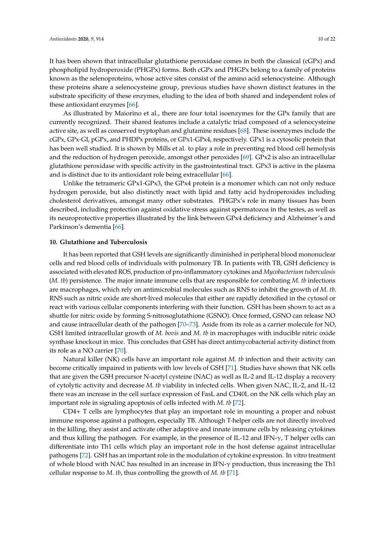It has been shown that intracellular glutathione peroxidase comes in both the classical (cGPx) and phospholipid hydroperoxide (PHGPx) forms. Both cGPx and PHGPx belong to a family of proteins known as the selenoproteins, whose active sites consist of the amino acid selenocysteine. Although these proteins share a selenocysteine group, previous studies have shown distinct features in the substrate specificity of these enzymes, eluding to the idea of both shared and independent roles of these antioxidant enzymes [\[66\]](#page-18-9).

As illustrated by Maiorino et al., there are four total isoenzymes for the GPx family that are currently recognized. Their shared features include a catalytic triad composed of a selenocysteine active site, as well as conserved tryptophan and glutamine residues [\[68\]](#page-18-11). These isoenzymes include the cGPx, GPx-GI, pGPx, and PHDPx proteins, or GPx1-GPx4, respectively. GPx1 is a cytosolic protein that has been well studied. It is shown by Mills et al. to play a role in preventing red blood cell hemolysis and the reduction of hydrogen peroxide, amongst other peroxides [\[69\]](#page-18-12). GPx2 is also an intracellular glutathione peroxidase with specific activity in the gastrointestinal tract. GPx3 is active in the plasma and is distinct due to its antioxidant role being extracellular [\[66\]](#page-18-9).

Unlike the tetrameric GPx1-GPx3, the GPx4 protein is a monomer which can not only reduce hydrogen peroxide, but also distinctly react with lipid and fatty acid hydroperoxides including cholesterol derivatives, amongst many other substrates. PHGPx's role in many tissues has been described, including protection against oxidative stress against spermatozoa in the testes, as well as its neuroprotective properties illustrated by the link between GPx4 deficiency and Alzheimer's and Parkinson's dementia [\[66\]](#page-18-9).

#### **10. Glutathione and Tuberculosis**

It has been reported that GSH levels are significantly diminished in peripheral blood mononuclear cells and red blood cells of individuals with pulmonary TB. In patients with TB, GSH deficiency is associated with elevated ROS, production of pro-inflammatory cytokines and *Mycobacterium tuberculosis* (*M. tb*) persistence. The major innate immune cells that are responsible for combating *M. tb* infections are macrophages, which rely on antimicrobial molecules such as RNS to inhibit the growth of *M. tb*. RNS such as nitric oxide are short-lived molecules that either are rapidly detoxified in the cytosol or react with various cellular components interfering with their function. GSH has been shown to act as a shuttle for nitric oxide by forming S-nitrosoglutathione (GSNO). Once formed, GSNO can release NO and cause intracellular death of the pathogen [\[70](#page-18-13)[–73\]](#page-18-14). Aside from its role as a carrier molecule for NO, GSH limited intracellular growth of *M. bovis* and *M. tb* in macrophages with inducible nitric oxide synthase knockout in mice. This concludes that GSH has direct antimycobacterial activity distinct from its role as a NO carrier [\[70\]](#page-18-13).

Natural killer (NK) cells have an important role against *M. tb* infection and their activity can become critically impaired in patients with low levels of GSH [\[71\]](#page-18-15). Studies have shown that NK cells that are given the GSH precursor N-acetyl cysteine (NAC) as well as IL-2 and IL-12 display a recovery of cytolytic activity and decrease *M. tb* viability in infected cells. When given NAC, IL-2, and IL-12 there was an increase in the cell surface expression of FasL and CD40L on the NK cells which play an important role in signaling apoptosis of cells infected with *M. tb* [\[72\]](#page-18-16).

CD4+ T cells are lymphocytes that play an important role in mounting a proper and robust immune response against a pathogen, especially TB. Although T-helper cells are not directly involved in the killing, they assist and activate other adaptive and innate immune cells by releasing cytokines and thus killing the pathogen. For example, in the presence of IL-12 and IFN- $\gamma$ , T helper cells can differentiate into Th1 cells which play an important role in the host defense against intracellular pathogens [\[72\]](#page-18-16). GSH has an important role in the modulation of cytokine expression. In vitro treatment of whole blood with NAC has resulted in an increase in IFN- $\gamma$  production, thus increasing the Th1 cellular response to *M. tb*, thus controlling the growth of *M. tb* [\[71\]](#page-18-15).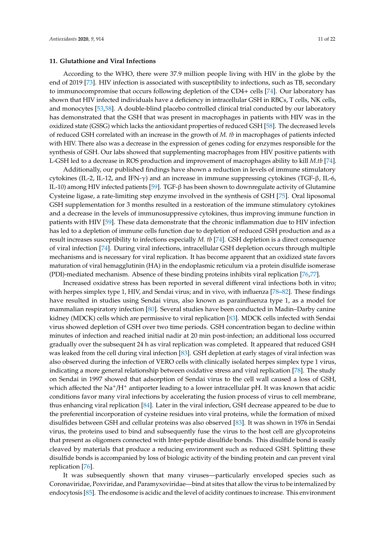#### **11. Glutathione and Viral Infections**

According to the WHO, there were 37.9 million people living with HIV in the globe by the end of 2019 [\[73\]](#page-18-14). HIV infection is associated with susceptibility to infections, such as TB, secondary to immunocompromise that occurs following depletion of the CD4+ cells [\[74\]](#page-18-17). Our laboratory has shown that HIV infected individuals have a deficiency in intracellular GSH in RBCs, T cells, NK cells, and monocytes [\[53,](#page-17-17)[58\]](#page-18-1). A double-blind placebo controlled clinical trial conducted by our laboratory has demonstrated that the GSH that was present in macrophages in patients with HIV was in the oxidized state (GSSG) which lacks the antioxidant properties of reduced GSH [\[58\]](#page-18-1). The decreased levels of reduced GSH correlated with an increase in the growth of *M. tb* in macrophages of patients infected with HIV. There also was a decrease in the expression of genes coding for enzymes responsible for the synthesis of GSH. Our labs showed that supplementing macrophages from HIV positive patients with L-GSH led to a decrease in ROS production and improvement of macrophages ability to kill *M.tb* [\[74\]](#page-18-17).

Additionally, our published findings have shown a reduction in levels of immune stimulatory cytokines (IL-2, IL-12, and IFN-γ) and an increase in immune suppressing cytokines (TGF-β, IL-6, IL-10) among HIV infected patients [\[59\]](#page-18-2). TGF-β has been shown to downregulate activity of Glutamine Cysteine ligase, a rate-limiting step enzyme involved in the synthesis of GSH [\[75\]](#page-18-18). Oral liposomal GSH supplementation for 3 months resulted in a restoration of the immune stimulatory cytokines and a decrease in the levels of immunosuppressive cytokines, thus improving immune function in patients with HIV [\[59\]](#page-18-2). These data demonstrate that the chronic inflammation due to HIV infection has led to a depletion of immune cells function due to depletion of reduced GSH production and as a result increases susceptibility to infections especially *M. tb* [\[74\]](#page-18-17). GSH depletion is a direct consequence of viral infection [\[74\]](#page-18-17). During viral infections, intracellular GSH depletion occurs through multiple mechanisms and is necessary for viral replication. It has become apparent that an oxidized state favors maturation of viral hemagglutinin (HA) in the endoplasmic reticulum via a protein disulfide isomerase (PDI)-mediated mechanism. Absence of these binding proteins inhibits viral replication [\[76,](#page-18-19)[77\]](#page-18-20).

Increased oxidative stress has been reported in several different viral infections both in vitro; with herpes simplex type 1, HIV, and Sendai virus; and in vivo, with influenza [\[78](#page-19-0)[–82\]](#page-19-1). These findings have resulted in studies using Sendai virus, also known as parainfluenza type 1, as a model for mammalian respiratory infection [\[80\]](#page-19-2). Several studies have been conducted in Madin–Darby canine kidney (MDCK) cells which are permissive to viral replication [\[83\]](#page-19-3). MDCK cells infected with Sendai virus showed depletion of GSH over two time periods. GSH concentration began to decline within minutes of infection and reached initial nadir at 20 min post-infection; an additional loss occurred gradually over the subsequent 24 h as viral replication was completed. It appeared that reduced GSH was leaked from the cell during viral infection [\[83\]](#page-19-3). GSH depletion at early stages of viral infection was also observed during the infection of VERO cells with clinically isolated herpes simplex type 1 virus, indicating a more general relationship between oxidative stress and viral replication [\[78\]](#page-19-0). The study on Sendai in 1997 showed that adsorption of Sendai virus to the cell wall caused a loss of GSH, which affected the  $\text{Na}^+/\text{H}^+$  antiporter leading to a lower intracellular pH. It was known that acidic conditions favor many viral infections by accelerating the fusion process of virus to cell membrane, thus enhancing viral replication [\[84\]](#page-19-4). Later in the viral infection, GSH decrease appeared to be due to the preferential incorporation of cysteine residues into viral proteins, while the formation of mixed disulfides between GSH and cellular proteins was also observed [\[83\]](#page-19-3). It was shown in 1976 in Sendai virus, the proteins used to bind and subsequently fuse the virus to the host cell are glycoproteins that present as oligomers connected with Inter-peptide disulfide bonds. This disulfide bond is easily cleaved by materials that produce a reducing environment such as reduced GSH. Splitting these disulfide bonds is accompanied by loss of biologic activity of the binding protein and can prevent viral replication [\[76\]](#page-18-19).

It was subsequently shown that many viruses—particularly enveloped species such as Coronaviridae, Poxviridae, and Paramyxoviridae—bind at sites that allow the virus to be internalized by endocytosis [\[85\]](#page-19-5). The endosome is acidic and the level of acidity continues to increase. This environment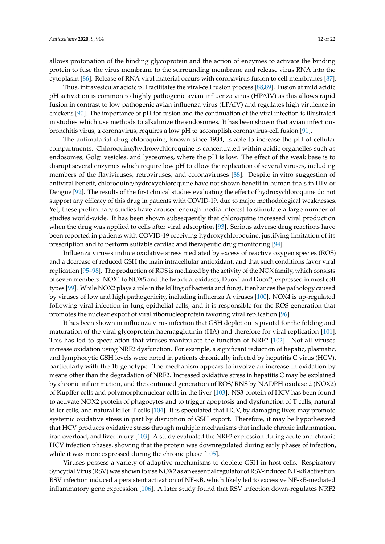allows protonation of the binding glycoprotein and the action of enzymes to activate the binding protein to fuse the virus membrane to the surrounding membrane and release virus RNA into the cytoplasm [\[86\]](#page-19-6). Release of RNA viral material occurs with coronavirus fusion to cell membranes [\[87\]](#page-19-7).

Thus, intravesicular acidic pH facilitates the viral-cell fusion process [\[88,](#page-19-8)[89\]](#page-19-9). Fusion at mild acidic pH activation is common to highly pathogenic avian influenza virus (HPAIV) as this allows rapid fusion in contrast to low pathogenic avian influenza virus (LPAIV) and regulates high virulence in chickens [\[90\]](#page-19-10). The importance of pH for fusion and the continuation of the viral infection is illustrated in studies which use methods to alkalinize the endosomes. It has been shown that avian infectious bronchitis virus, a coronavirus, requires a low pH to accomplish coronavirus-cell fusion [\[91\]](#page-19-11).

The antimalarial drug chloroquine, known since 1934, is able to increase the pH of cellular compartments. Chloroquine/hydroxychloroquine is concentrated within acidic organelles such as endosomes, Golgi vesicles, and lysosomes, where the pH is low. The effect of the weak base is to disrupt several enzymes which require low pH to allow the replication of several viruses, including members of the flaviviruses, retroviruses, and coronaviruses [\[88\]](#page-19-8). Despite in vitro suggestion of antiviral benefit, chloroquine/hydroxychloroquine have not shown benefit in human trials in HIV or Dengue [\[92\]](#page-19-12). The results of the first clinical studies evaluating the effect of hydroxychloroquine do not support any efficacy of this drug in patients with COVID-19, due to major methodological weaknesses. Yet, these preliminary studies have aroused enough media interest to stimulate a large number of studies world-wide. It has been shown subsequently that chloroquine increased viral production when the drug was applied to cells after viral adsorption [\[93\]](#page-19-13). Serious adverse drug reactions have been reported in patients with COVID-19 receiving hydroxychloroquine, justifying limitation of its prescription and to perform suitable cardiac and therapeutic drug monitoring [\[94\]](#page-19-14).

Influenza viruses induce oxidative stress mediated by excess of reactive oxygen species (ROS) and a decrease of reduced GSH the main intracellular antioxidant, and that such conditions favor viral replication [\[95–](#page-19-15)[98\]](#page-20-0). The production of ROS is mediated by the activity of the NOX family, which consists of seven members: NOX1 to NOX5 and the two dual oxidases, Duox1 and Duox2, expressed in most cell types [\[99\]](#page-20-1). While NOX2 plays a role in the killing of bacteria and fungi, it enhances the pathology caused by viruses of low and high pathogenicity, including influenza A viruses [\[100\]](#page-20-2). NOX4 is up-regulated following viral infection in lung epithelial cells, and it is responsible for the ROS generation that promotes the nuclear export of viral ribonucleoprotein favoring viral replication [\[96\]](#page-19-16).

It has been shown in influenza virus infection that GSH depletion is pivotal for the folding and maturation of the viral glycoprotein haemagglutinin (HA) and therefore for viral replication [\[101\]](#page-20-3). This has led to speculation that viruses manipulate the function of NRF2 [\[102\]](#page-20-4). Not all viruses increase oxidation using NRF2 dysfunction. For example, a significant reduction of hepatic, plasmatic, and lymphocytic GSH levels were noted in patients chronically infected by hepatitis C virus (HCV), particularly with the 1b genotype. The mechanism appears to involve an increase in oxidation by means other than the degradation of NRF2. Increased oxidative stress in hepatitis C may be explained by chronic inflammation, and the continued generation of ROS/ RNS by NADPH oxidase 2 (NOX2) of Kupffer cells and polymorphonuclear cells in the liver [\[103\]](#page-20-5). NS3 protein of HCV has been found to activate NOX2 protein of phagocytes and to trigger apoptosis and dysfunction of T cells, natural killer cells, and natural killer T cells [\[104\]](#page-20-6). It is speculated that HCV, by damaging liver, may promote systemic oxidative stress in part by disruption of GSH export. Therefore, it may be hypothesized that HCV produces oxidative stress through multiple mechanisms that include chronic inflammation, iron overload, and liver injury [\[103\]](#page-20-5). A study evaluated the NRF2 expression during acute and chronic HCV infection phases, showing that the protein was downregulated during early phases of infection, while it was more expressed during the chronic phase [\[105\]](#page-20-7).

Viruses possess a variety of adaptive mechanisms to deplete GSH in host cells. Respiratory Syncytial Virus (RSV) was shown to use NOX2 as an essential regulator of RSV-induced NF-κB activation. RSV infection induced a persistent activation of NF-κB, which likely led to excessive NF-κB-mediated inflammatory gene expression [\[106\]](#page-20-8). A later study found that RSV infection down-regulates NRF2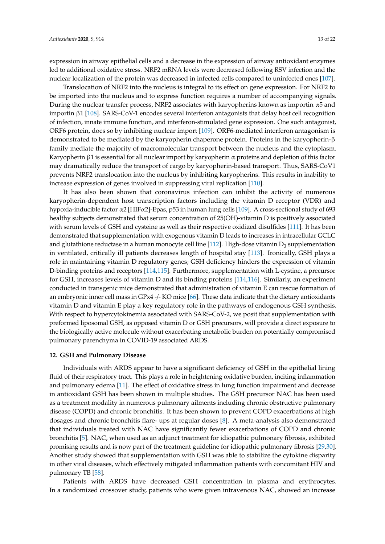expression in airway epithelial cells and a decrease in the expression of airway antioxidant enzymes led to additional oxidative stress. NRF2 mRNA levels were decreased following RSV infection and the nuclear localization of the protein was decreased in infected cells compared to uninfected ones [\[107\]](#page-20-9).

Translocation of NRF2 into the nucleus is integral to its effect on gene expression. For NRF2 to be imported into the nucleus and to express function requires a number of accompanying signals. During the nuclear transfer process, NRF2 associates with karyopherins known as importin  $\alpha$ 5 and importin β1 [\[108\]](#page-20-10). SARS-CoV-1 encodes several interferon antagonists that delay host cell recognition of infection, innate immune function, and interferon-stimulated gene expression. One such antagonist, ORF6 protein, does so by inhibiting nuclear import [\[109\]](#page-20-11). ORF6-mediated interferon antagonism is demonstrated to be mediated by the karyopherin chaperone protein. Proteins in the karyopherin-β family mediate the majority of macromolecular transport between the nucleus and the cytoplasm. Karyopherin β1 is essential for all nuclear import by karyopherin α proteins and depletion of this factor may dramatically reduce the transport of cargo by karyopherin-based transport. Thus, SARS-CoV1 prevents NRF2 translocation into the nucleus by inhibiting karyopherins. This results in inability to increase expression of genes involved in suppressing viral replication [\[110\]](#page-20-12).

It has also been shown that coronavirus infection can inhibit the activity of numerous karyopherin-dependent host transcription factors including the vitamin D receptor (VDR) and hypoxia-inducible factor α2 [HIFα2]-Epas, p53 in human lung cells [\[109\]](#page-20-11). A cross-sectional study of 693 healthy subjects demonstrated that serum concentration of 25(OH)-vitamin D is positively associated with serum levels of GSH and cysteine as well as their respective oxidized disulfides [\[111\]](#page-20-13). It has been demonstrated that supplementation with exogenous vitamin D leads to increases in intracellular GCLC and glutathione reductase in a human monocyte cell line [\[112\]](#page-20-14). High-dose vitamin  $D_3$  supplementation in ventilated, critically ill patients decreases length of hospital stay [\[113\]](#page-20-15). Ironically, GSH plays a role in maintaining vitamin D regulatory genes; GSH deficiency hinders the expression of vitamin D-binding proteins and receptors [\[114](#page-20-16)[,115\]](#page-20-17). Furthermore, supplementation with L-cystine, a precursor for GSH, increases levels of vitamin D and its binding proteins [\[114](#page-20-16)[,116\]](#page-20-18). Similarly, an experiment conducted in transgenic mice demonstrated that administration of vitamin E can rescue formation of an embryonic inner cell mass in GPx4 -/- KO mice [\[66\]](#page-18-9). These data indicate that the dietary antioxidants vitamin D and vitamin E play a key regulatory role in the pathways of endogenous GSH synthesis. With respect to hypercytokinemia associated with SARS-CoV-2, we posit that supplementation with preformed liposomal GSH, as opposed vitamin D or GSH precursors, will provide a direct exposure to the biologically active molecule without exacerbating metabolic burden on potentially compromised pulmonary parenchyma in COVID-19 associated ARDS.

#### **12. GSH and Pulmonary Disease**

Individuals with ARDS appear to have a significant deficiency of GSH in the epithelial lining fluid of their respiratory tract. This plays a role in heightening oxidative burden, inciting inflammation and pulmonary edema [\[11\]](#page-15-10). The effect of oxidative stress in lung function impairment and decrease in antioxidant GSH has been shown in multiple studies. The GSH precursor NAC has been used as a treatment modality in numerous pulmonary ailments including chronic obstructive pulmonary disease (COPD) and chronic bronchitis. It has been shown to prevent COPD exacerbations at high dosages and chronic bronchitis flare- ups at regular doses [\[8\]](#page-15-7). A meta-analysis also demonstrated that individuals treated with NAC have significantly fewer exacerbations of COPD and chronic bronchitis [\[5\]](#page-15-4). NAC, when used as an adjunct treatment for idiopathic pulmonary fibrosis, exhibited promising results and is now part of the treatment guideline for idiopathic pulmonary fibrosis [\[29](#page-16-14)[,30\]](#page-16-15). Another study showed that supplementation with GSH was able to stabilize the cytokine disparity in other viral diseases, which effectively mitigated inflammation patients with concomitant HIV and pulmonary TB [\[58\]](#page-18-1).

Patients with ARDS have decreased GSH concentration in plasma and erythrocytes. In a randomized crossover study, patients who were given intravenous NAC, showed an increase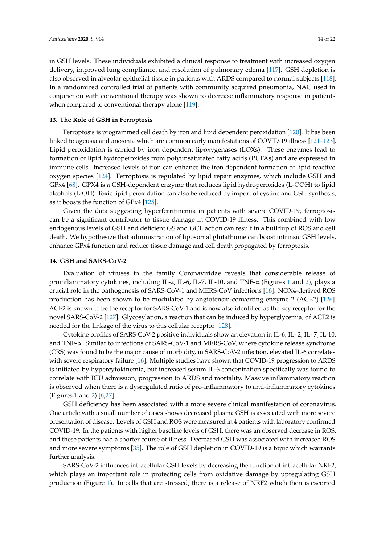in GSH levels. These individuals exhibited a clinical response to treatment with increased oxygen delivery, improved lung compliance, and resolution of pulmonary edema [\[117\]](#page-21-0). GSH depletion is also observed in alveolar epithelial tissue in patients with ARDS compared to normal subjects [\[118\]](#page-21-1). In a randomized controlled trial of patients with community acquired pneumonia, NAC used in conjunction with conventional therapy was shown to decrease inflammatory response in patients when compared to conventional therapy alone [\[119\]](#page-21-2).

#### **13. The Role of GSH in Ferroptosis**

Ferroptosis is programmed cell death by iron and lipid dependent peroxidation [\[120\]](#page-21-3). It has been linked to ageusia and anosmia which are common early manifestations of COVID-19 illness [\[121–](#page-21-4)[123\]](#page-21-5). Lipid peroxidation is carried by iron dependent lipoxygenases (LOXs). These enzymes lead to formation of lipid hydroperoxides from polyunsaturated fatty acids (PUFAs) and are expressed in immune cells. Increased levels of iron can enhance the iron dependent formation of lipid reactive oxygen species [\[124\]](#page-21-6). Ferroptosis is regulated by lipid repair enzymes, which include GSH and GPx4 [\[68\]](#page-18-11). GPX4 is a GSH-dependent enzyme that reduces lipid hydroperoxides (L-OOH) to lipid alcohols (L-OH). Toxic lipid peroxidation can also be reduced by import of cystine and GSH synthesis, as it boosts the function of GPx4 [\[125\]](#page-21-7).

Given the data suggesting hyperferritinemia in patients with severe COVID-19, ferroptosis can be a significant contributor to tissue damage in COVID-19 illness. This combined with low endogenous levels of GSH and deficient GS and GCL action can result in a buildup of ROS and cell death. We hypothesize that administration of liposomal glutathione can boost intrinsic GSH levels, enhance GPx4 function and reduce tissue damage and cell death propagated by ferroptosis.

#### **14. GSH and SARS-CoV-2**

Evaluation of viruses in the family Coronaviridae reveals that considerable release of proinflammatory cytokines, including IL-2, IL-6, IL-7, IL-[1](#page-4-0)0, and TNF- $\alpha$  (Figures 1 and [2\)](#page-5-0), plays a crucial role in the pathogenesis of SARS-CoV-1 and MERS-CoV infections [\[16\]](#page-16-2). NOX4-derived ROS production has been shown to be modulated by angiotensin-converting enzyme 2 (ACE2) [\[126\]](#page-21-8). ACE2 is known to be the receptor for SARS-CoV-1 and is now also identified as the key receptor for the novel SARS-CoV-2 [\[127\]](#page-21-9). Glycosylation, a reaction that can be induced by hyperglycemia, of ACE2 is needed for the linkage of the virus to this cellular receptor [\[128\]](#page-21-10).

Cytokine profiles of SARS-CoV-2 positive individuals show an elevation in IL-6, IL- 2, IL- 7, IL-10, and TNF-α. Similar to infections of SARS-CoV-1 and MERS-CoV, where cytokine release syndrome (CRS) was found to be the major cause of morbidity, in SARS-CoV-2 infection, elevated IL-6 correlates with severe respiratory failure [\[16\]](#page-16-2). Multiple studies have shown that COVID-19 progression to ARDS is initiated by hypercytokinemia, but increased serum IL-6 concentration specifically was found to correlate with ICU admission, progression to ARDS and mortality. Massive inflammatory reaction is observed when there is a dysregulated ratio of pro-inflammatory to anti-inflammatory cytokines (Figures [1](#page-4-0) and [2\)](#page-5-0) [\[6,](#page-15-5)[27\]](#page-16-12).

GSH deficiency has been associated with a more severe clinical manifestation of coronavirus. One article with a small number of cases shows decreased plasma GSH is associated with more severe presentation of disease. Levels of GSH and ROS were measured in 4 patients with laboratory confirmed COVID-19. In the patients with higher baseline levels of GSH, there was an observed decrease in ROS, and these patients had a shorter course of illness. Decreased GSH was associated with increased ROS and more severe symptoms [\[35\]](#page-16-20). The role of GSH depletion in COVID-19 is a topic which warrants further analysis.

SARS-CoV-2 influences intracellular GSH levels by decreasing the function of intracellular NRF2, which plays an important role in protecting cells from oxidative damage by upregulating GSH production (Figure [1\)](#page-4-0). In cells that are stressed, there is a release of NRF2 which then is escorted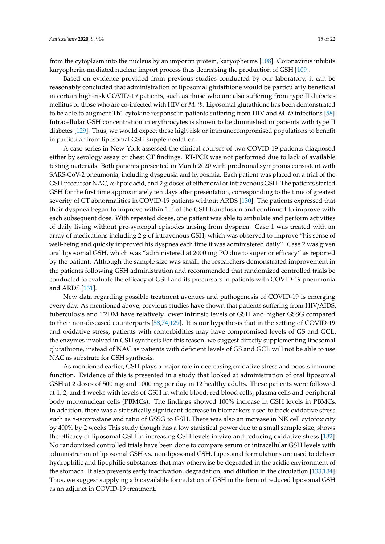from the cytoplasm into the nucleus by an importin protein, karyopherins [\[108\]](#page-20-10). Coronavirus inhibits karyopherin-mediated nuclear import process thus decreasing the production of GSH [\[109\]](#page-20-11).

Based on evidence provided from previous studies conducted by our laboratory, it can be reasonably concluded that administration of liposomal glutathione would be particularly beneficial in certain high-risk COVID-19 patients, such as those who are also suffering from type II diabetes mellitus or those who are co-infected with HIV or *M. tb*. Liposomal glutathione has been demonstrated to be able to augment Th1 cytokine response in patients suffering from HIV and *M. tb* infections [\[58\]](#page-18-1). Intracellular GSH concentration in erythrocytes is shown to be diminished in patients with type II diabetes [\[129\]](#page-21-11). Thus, we would expect these high-risk or immunocompromised populations to benefit in particular from liposomal GSH supplementation.

A case series in New York assessed the clinical courses of two COVID-19 patients diagnosed either by serology assay or chest CT findings. RT-PCR was not performed due to lack of available testing materials. Both patients presented in March 2020 with prodromal symptoms consistent with SARS-CoV-2 pneumonia, including dysgeusia and hyposmia. Each patient was placed on a trial of the GSH precursor NAC, α-lipoic acid, and 2 g doses of either oral or intravenous GSH. The patients started GSH for the first time approximately ten days after presentation, corresponding to the time of greatest severity of CT abnormalities in COVID-19 patients without ARDS [\[130\]](#page-21-12). The patients expressed that their dyspnea began to improve within 1 h of the GSH transfusion and continued to improve with each subsequent dose. With repeated doses, one patient was able to ambulate and perform activities of daily living without pre-syncopal episodes arising from dyspnea. Case 1 was treated with an array of medications including 2 g of intravenous GSH, which was observed to improve "his sense of well-being and quickly improved his dyspnea each time it was administered daily". Case 2 was given oral liposomal GSH, which was "administered at 2000 mg PO due to superior efficacy" as reported by the patient. Although the sample size was small, the researchers demonstrated improvement in the patients following GSH administration and recommended that randomized controlled trials be conducted to evaluate the efficacy of GSH and its precursors in patients with COVID-19 pneumonia and ARDS [\[131\]](#page-21-13).

New data regarding possible treatment avenues and pathogenesis of COVID-19 is emerging every day. As mentioned above, previous studies have shown that patients suffering from HIV/AIDS, tuberculosis and T2DM have relatively lower intrinsic levels of GSH and higher GSSG compared to their non-diseased counterparts [\[58,](#page-18-1)[74,](#page-18-17)[129\]](#page-21-11). It is our hypothesis that in the setting of COVID-19 and oxidative stress, patients with comorbidities may have compromised levels of GS and GCL, the enzymes involved in GSH synthesis For this reason, we suggest directly supplementing liposomal glutathione, instead of NAC as patients with deficient levels of GS and GCL will not be able to use NAC as substrate for GSH synthesis.

As mentioned earlier, GSH plays a major role in decreasing oxidative stress and boosts immune function. Evidence of this is presented in a study that looked at administration of oral liposomal GSH at 2 doses of 500 mg and 1000 mg per day in 12 healthy adults. These patients were followed at 1, 2, and 4 weeks with levels of GSH in whole blood, red blood cells, plasma cells and peripheral body mononuclear cells (PBMCs). The findings showed 100% increase in GSH levels in PBMCs. In addition, there was a statistically significant decrease in biomarkers used to track oxidative stress such as 8-isoprostane and ratio of GSSG to GSH. There was also an increase in NK cell cytotoxicity by 400% by 2 weeks This study though has a low statistical power due to a small sample size, shows the efficacy of liposomal GSH in increasing GSH levels in vivo and reducing oxidative stress [\[132\]](#page-21-14). No randomized controlled trials have been done to compare serum or intracellular GSH levels with administration of liposomal GSH vs. non-liposomal GSH. Liposomal formulations are used to deliver hydrophilic and lipophilic substances that may otherwise be degraded in the acidic environment of the stomach. It also prevents early inactivation, degradation, and dilution in the circulation [\[133](#page-21-15)[,134\]](#page-21-16). Thus, we suggest supplying a bioavailable formulation of GSH in the form of reduced liposomal GSH as an adjunct in COVID-19 treatment.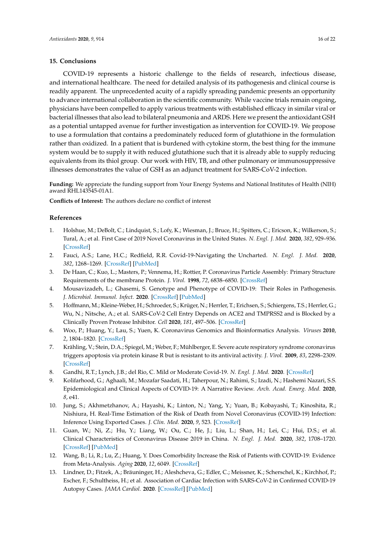#### **15. Conclusions**

COVID-19 represents a historic challenge to the fields of research, infectious disease, and international healthcare. The need for detailed analysis of its pathogenesis and clinical course is readily apparent. The unprecedented acuity of a rapidly spreading pandemic presents an opportunity to advance international collaboration in the scientific community. While vaccine trials remain ongoing, physicians have been compelled to apply various treatments with established efficacy in similar viral or bacterial illnesses that also lead to bilateral pneumonia and ARDS. Here we present the antioxidant GSH as a potential untapped avenue for further investigation as intervention for COVID-19. We propose to use a formulation that contains a predominately reduced form of glutathione in the formulation rather than oxidized. In a patient that is burdened with cytokine storm, the best thing for the immune system would be to supply it with reduced glutathione such that it is already able to supply reducing equivalents from its thiol group. Our work with HIV, TB, and other pulmonary or immunosuppressive illnesses demonstrates the value of GSH as an adjunct treatment for SARS-CoV-2 infection.

**Funding:** We appreciate the funding support from Your Energy Systems and National Institutes of Health (NIH) award RHL143545-01A1.

**Conflicts of Interest:** The authors declare no conflict of interest

#### **References**

- <span id="page-15-0"></span>1. Holshue, M.; DeBolt, C.; Lindquist, S.; Lofy, K.; Wiesman, J.; Bruce, H.; Spitters, C.; Ericson, K.; Wilkerson, S.; Tural, A.; et al. First Case of 2019 Novel Coronavirus in the United States. *N. Engl. J. Med.* **2020**, *382*, 929–936. [\[CrossRef\]](http://dx.doi.org/10.1056/NEJMoa2001191)
- <span id="page-15-1"></span>2. Fauci, A.S.; Lane, H.C.; Redfield, R.R. Covid-19-Navigating the Uncharted. *N. Engl. J. Med.* **2020**, *382*, 1268–1269. [\[CrossRef\]](http://dx.doi.org/10.1056/NEJMe2002387) [\[PubMed\]](http://www.ncbi.nlm.nih.gov/pubmed/32109011)
- <span id="page-15-2"></span>3. De Haan, C.; Kuo, L.; Masters, P.; Vennema, H.; Rottier, P. Coronavirus Particle Assembly: Primary Structure Requirements of the membrane Protein. *J. Virol.* **1998**, *72*, 6838–6850. [\[CrossRef\]](http://dx.doi.org/10.1128/JVI.72.8.6838-6850.1998)
- <span id="page-15-3"></span>4. Mousavizadeh, L.; Ghasemi, S. Genotype and Phenotype of COVID-19: Their Roles in Pathogenesis. *J. Microbiol. Immunol. Infect.* **2020**. [\[CrossRef\]](http://dx.doi.org/10.1016/j.jmii.2020.03.022) [\[PubMed\]](http://www.ncbi.nlm.nih.gov/pubmed/32265180)
- <span id="page-15-4"></span>5. Hoffmann, M.; Kleine-Weber, H.; Schroeder, S.; Krüger, N.; Herrler, T.; Erichsen, S.; Schiergens, T.S.; Herrler, G.; Wu, N.; Nitsche, A.; et al. SARS-CoV-2 Cell Entry Depends on ACE2 and TMPRSS2 and is Blocked by a Clinically Proven Protease Inhibitor. *Cell* **2020**, *181*, 497–506. [\[CrossRef\]](http://dx.doi.org/10.1016/j.cell.2020.02.052)
- <span id="page-15-5"></span>6. Woo, P.; Huang, Y.; Lau, S.; Yuen, K. Coronavirus Genomics and Bioinformatics Analysis. *Viruses* **2010**, *2*, 1804–1820. [\[CrossRef\]](http://dx.doi.org/10.3390/v2081803)
- <span id="page-15-6"></span>7. Krähling, V.; Stein, D.A.; Spiegel, M.; Weber, F.; Mühlberger, E. Severe acute respiratory syndrome coronavirus triggers apoptosis via protein kinase R but is resistant to its antiviral activity. *J. Virol.* **2009**, *83*, 2298–2309. [\[CrossRef\]](http://dx.doi.org/10.1128/JVI.01245-08)
- <span id="page-15-7"></span>8. Gandhi, R.T.; Lynch, J.B.; del Rio, C. Mild or Moderate Covid-19. *N. Engl. J. Med.* **2020**. [\[CrossRef\]](http://dx.doi.org/10.1056/NEJMcp2009249)
- <span id="page-15-8"></span>9. Kolifarhood, G.; Aghaali, M.; Mozafar Saadati, H.; Taherpour, N.; Rahimi, S.; Izadi, N.; Hashemi Nazari, S.S. Epidemiological and Clinical Aspects of COVID-19: A Narrative Review. *Arch. Acad. Emerg. Med.* **2020**, *8*, e41.
- <span id="page-15-9"></span>10. Jung, S.; Akhmetzhanov, A.; Hayashi, K.; Linton, N.; Yang, Y.; Yuan, B.; Kobayashi, T.; Kinoshita, R.; Nishiura, H. Real-Time Estimation of the Risk of Death from Novel Coronavirus (COVID-19) Infection: Inference Using Exported Cases. *J. Clin. Med.* **2020**, *9*, 523. [\[CrossRef\]](http://dx.doi.org/10.3390/jcm9020523)
- <span id="page-15-10"></span>11. Guan, W.; Ni, Z.; Hu, Y.; Liang, W.; Ou, C.; He, J.; Liu, L.; Shan, H.; Lei, C.; Hui, D.S.; et al. Clinical Characteristics of Coronavirus Disease 2019 in China. *N. Engl. J. Med.* **2020**, *382*, 1708–1720. [\[CrossRef\]](http://dx.doi.org/10.1056/NEJMoa2002032) [\[PubMed\]](http://www.ncbi.nlm.nih.gov/pubmed/32109013)
- <span id="page-15-11"></span>12. Wang, B.; Li, R.; Lu, Z.; Huang, Y. Does Comorbidity Increase the Risk of Patients with COVID-19: Evidence from Meta-Analysis. *Aging* **2020**, *12*, 6049. [\[CrossRef\]](http://dx.doi.org/10.18632/aging.103000)
- <span id="page-15-12"></span>13. Lindner, D.; Fitzek, A.; Bräuninger, H.; Aleshcheva, G.; Edler, C.; Meissner, K.; Scherschel, K.; Kirchhof, P.; Escher, F.; Schultheiss, H.; et al. Association of Cardiac Infection with SARS-CoV-2 in Confirmed COVID-19 Autopsy Cases. *JAMA Cardiol.* **2020**. [\[CrossRef\]](http://dx.doi.org/10.1001/jamacardio.2020.3551) [\[PubMed\]](http://www.ncbi.nlm.nih.gov/pubmed/32730555)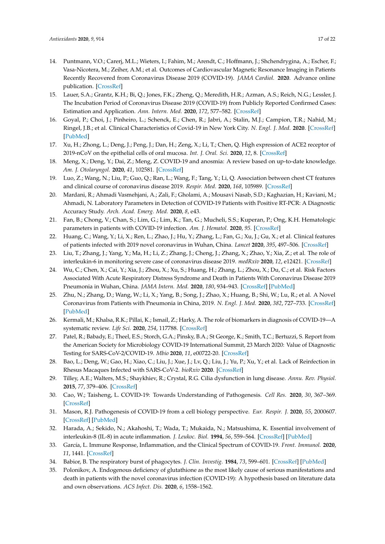- <span id="page-16-0"></span>14. Puntmann, V.O.; Carerj, M.L.; Wieters, I.; Fahim, M.; Arendt, C.; Hoffmann, J.; Shchendrygina, A.; Escher, F.; Vasa-Nicotera, M.; Zeiher, A.M.; et al. Outcomes of Cardiovascular Magnetic Resonance Imaging in Patients Recently Recovered from Coronavirus Disease 2019 (COVID-19). *JAMA Cardiol.* **2020**. Advance online publication. [\[CrossRef\]](http://dx.doi.org/10.1001/jamacardio.2020.3557)
- <span id="page-16-1"></span>15. Lauer, S.A.; Grantz, K.H.; Bi, Q.; Jones, F.K.; Zheng, Q.; Meredith, H.R.; Azman, A.S.; Reich, N.G.; Lessler, J. The Incubation Period of Coronavirus Disease 2019 (COVID-19) from Publicly Reported Confirmed Cases: Estimation and Application. *Ann. Intern. Med.* **2020**, *172*, 577–582. [\[CrossRef\]](http://dx.doi.org/10.7326/M20-0504)
- <span id="page-16-2"></span>16. Goyal, P.; Choi, J.; Pinheiro, L.; Schenck, E.; Chen, R.; Jabri, A.; Stalin, M.J.; Campion, T.R.; Nahid, M.; Ringel, J.B.; et al. Clinical Characteristics of Covid-19 in New York City. *N. Engl. J. Med.* **2020**. [\[CrossRef\]](http://dx.doi.org/10.1056/NEJMc2010419) [\[PubMed\]](http://www.ncbi.nlm.nih.gov/pubmed/32302078)
- <span id="page-16-3"></span>17. Xu, H.; Zhong, L.; Deng, J.; Peng, J.; Dan, H.; Zeng, X.; Li, T.; Chen, Q. High expression of ACE2 receptor of 2019-nCoV on the epithelial cells of oral mucosa. *Int. J. Oral. Sci.* **2020**, *12*, 8. [\[CrossRef\]](http://dx.doi.org/10.1038/s41368-020-0074-x)
- <span id="page-16-4"></span>18. Meng, X.; Deng, Y.; Dai, Z.; Meng, Z. COVID-19 and anosmia: A review based on up-to-date knowledge. *Am. J. Otolaryngol.* **2020**, *41*, 102581. [\[CrossRef\]](http://dx.doi.org/10.1016/j.amjoto.2020.102581)
- <span id="page-16-5"></span>19. Luo, Z.; Wang, N.; Liu, P.; Guo, Q.; Ran, L.; Wang, F.; Tang, Y.; Li, Q. Association between chest CT features and clinical course of coronavirus disease 2019. *Respir. Med.* **2020**, *168*, 105989. [\[CrossRef\]](http://dx.doi.org/10.1016/j.rmed.2020.105989)
- <span id="page-16-6"></span>20. Mardani, R.; Ahmadi Vasmehjani, A.; Zali, F.; Gholami, A.; Mousavi Nasab, S.D.; Kaghazian, H.; Kaviani, M.; Ahmadi, N. Laboratory Parameters in Detection of COVID-19 Patients with Positive RT-PCR: A Diagnostic Accuracy Study. *Arch. Acad. Emerg. Med.* **2020**, *8*, e43.
- <span id="page-16-7"></span>21. Fan, B.; Chong, V.; Chan, S.; Lim, G.; Lim, K.; Tan, G.; Mucheli, S.S.; Kuperan, P.; Ong, K.H. Hematologic parameters in patients with COVID-19 infection. *Am. J. Hematol.* **2020**, *95*. [\[CrossRef\]](http://dx.doi.org/10.1002/ajh.25774)
- <span id="page-16-8"></span>22. Huang, C.; Wang, Y.; Li, X.; Ren, L.; Zhao, J.; Hu, Y.; Zhang, L.; Fan, G.; Xu, J.; Gu, X.; et al. Clinical features of patients infected with 2019 novel coronavirus in Wuhan, China. *Lancet* **2020**, *395*, 497–506. [\[CrossRef\]](http://dx.doi.org/10.1016/S0140-6736(20)30183-5)
- <span id="page-16-21"></span>23. Liu, T.; Zhang, J.; Yang, Y.; Ma, H.; Li, Z.; Zhang, J.; Cheng, J.; Zhang, X.; Zhao, Y.; Xia, Z.; et al. The role of interleukin-6 in monitoring severe case of coronavirus disease 2019. *medRxiv* **2020**, *12*, e12421. [\[CrossRef\]](http://dx.doi.org/10.15252/emmm.202012421)
- <span id="page-16-9"></span>24. Wu, C.; Chen, X.; Cai, Y.; Xia, J.; Zhou, X.; Xu, S.; Huang, H.; Zhang, L.; Zhou, X.; Du, C.; et al. Risk Factors Associated With Acute Respiratory Distress Syndrome and Death in Patients With Coronavirus Disease 2019 Pneumonia in Wuhan, China. *JAMA Intern. Med.* **2020**, *180*, 934–943. [\[CrossRef\]](http://dx.doi.org/10.1001/jamainternmed.2020.0994) [\[PubMed\]](http://www.ncbi.nlm.nih.gov/pubmed/32167524)
- <span id="page-16-10"></span>25. Zhu, N.; Zhang, D.; Wang, W.; Li, X.; Yang, B.; Song, J.; Zhao, X.; Huang, B.; Shi, W.; Lu, R.; et al. A Novel Coronavirus from Patients with Pneumonia in China, 2019. *N. Engl. J. Med.* **2020**, *382*, 727–733. [\[CrossRef\]](http://dx.doi.org/10.1056/NEJMoa2001017) [\[PubMed\]](http://www.ncbi.nlm.nih.gov/pubmed/31978945)
- <span id="page-16-11"></span>26. Kermali, M.; Khalsa, R.K.; Pillai, K.; Ismail, Z.; Harky, A. The role of biomarkers in diagnosis of COVID-19—A systematic review. *Life Sci.* **2020**, *254*, 117788. [\[CrossRef\]](http://dx.doi.org/10.1016/j.lfs.2020.117788)
- <span id="page-16-12"></span>27. Patel, R.; Babady, E.; Theel, E.S.; Storch, G.A.; Pinsky, B.A.; St George, K.; Smith, T.C.; Bertuzzi, S. Report from the American Society for Microbiology COVID-19 International Summit, 23 March 2020: Value of Diagnostic Testing for SARS-CoV-2/COVID-19. *Mbio* **2020**, *11*, e00722-20. [\[CrossRef\]](http://dx.doi.org/10.1128/mBio.00722-20)
- <span id="page-16-13"></span>28. Bao, L.; Deng, W.; Gao, H.; Xiao, C.; Liu, J.; Xue, J.; Lv, Q.; Liu, J.; Yu, P.; Xu, Y.; et al. Lack of Reinfection in Rhesus Macaques Infected with SARS-CoV-2. *bioRxiv* **2020**. [\[CrossRef\]](http://dx.doi.org/10.1101/2020.03.13.990226)
- <span id="page-16-14"></span>29. Tilley, A.E.; Walters, M.S.; Shaykhiev, R.; Crystal, R.G. Cilia dysfunction in lung disease. *Annu. Rev. Physiol.* **2015**, *77*, 379–406. [\[CrossRef\]](http://dx.doi.org/10.1146/annurev-physiol-021014-071931)
- <span id="page-16-15"></span>30. Cao, W.; Taisheng, L. COVID-19: Towards Understanding of Pathogenesis. *Cell Res.* **2020**, *30*, 367–369. [\[CrossRef\]](http://dx.doi.org/10.1038/s41422-020-0327-4)
- <span id="page-16-16"></span>31. Mason, R.J. Pathogenesis of COVID-19 from a cell biology perspective. *Eur. Respir. J.* **2020**, *55*, 2000607. [\[CrossRef\]](http://dx.doi.org/10.1183/13993003.00607-2020) [\[PubMed\]](http://www.ncbi.nlm.nih.gov/pubmed/32269085)
- <span id="page-16-17"></span>32. Harada, A.; Sekido, N.; Akahoshi, T.; Wada, T.; Mukaida, N.; Matsushima, K. Essential involvement of interleukin-8 (IL-8) in acute inflammation. *J. Leukoc. Biol.* **1994**, *56*, 559–564. [\[CrossRef\]](http://dx.doi.org/10.1002/jlb.56.5.559) [\[PubMed\]](http://www.ncbi.nlm.nih.gov/pubmed/7964163)
- <span id="page-16-18"></span>33. García, L. Immune Response, Inflammation, and the Clinical Spectrum of COVID-19. *Front. Immunol.* **2020**, *11*, 1441. [\[CrossRef\]](http://dx.doi.org/10.3389/fimmu.2020.01441)
- <span id="page-16-19"></span>34. Babior, B. The respiratory burst of phagocytes. *J. Clin. Investig.* **1984**, *73*, 599–601. [\[CrossRef\]](http://dx.doi.org/10.1172/jci111249) [\[PubMed\]](http://www.ncbi.nlm.nih.gov/pubmed/6323522)
- <span id="page-16-20"></span>35. Polonikov, A. Endogenous deficiency of glutathione as the most likely cause of serious manifestations and death in patients with the novel coronavirus infection (COVID-19): A hypothesis based on literature data and own observations. *ACS Infect. Dis.* **2020**, *6*, 1558–1562.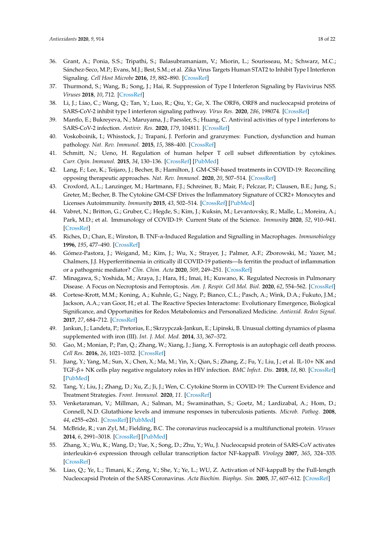- <span id="page-17-0"></span>36. Grant, A.; Ponia, S.S.; Tripathi, S.; Balasubramaniam, V.; Miorin, L.; Sourisseau, M.; Schwarz, M.C.; Sánchez-Seco, M.P.; Evans, M.J.; Best, S.M.; et al. Zika Virus Targets Human STAT2 to Inhibit Type I Interferon Signaling. *Cell Host Microbe* **2016**, *19*, 882–890. [\[CrossRef\]](http://dx.doi.org/10.1016/j.chom.2016.05.009)
- <span id="page-17-1"></span>37. Thurmond, S.; Wang, B.; Song, J.; Hai, R. Suppression of Type I Interferon Signaling by Flavivirus NS5. *Viruses* **2018**, *10*, 712. [\[CrossRef\]](http://dx.doi.org/10.3390/v10120712)
- <span id="page-17-2"></span>38. Li, J.; Liao, C.; Wang, Q.; Tan, Y.; Luo, R.; Qiu, Y.; Ge, X. The ORF6, ORF8 and nucleocapsid proteins of SARS-CoV-2 inhibit type I interferon signaling pathway. *Virus Res.* **2020**, *286*, 198074. [\[CrossRef\]](http://dx.doi.org/10.1016/j.virusres.2020.198074)
- <span id="page-17-3"></span>39. Mantlo, E.; Bukreyeva, N.; Maruyama, J.; Paessler, S.; Huang, C. Antiviral activities of type I interferons to SARS-CoV-2 infection. *Antivir. Res.* **2020**, *179*, 104811. [\[CrossRef\]](http://dx.doi.org/10.1016/j.antiviral.2020.104811)
- <span id="page-17-4"></span>40. Voskoboinik, I.; Whisstock, J.; Trapani, J. Perforin and granzymes: Function, dysfunction and human pathology. *Nat. Rev. Immunol.* **2015**, *15*, 388–400. [\[CrossRef\]](http://dx.doi.org/10.1038/nri3839)
- <span id="page-17-5"></span>41. Schmitt, N.; Ueno, H. Regulation of human helper T cell subset differentiation by cytokines. *Curr. Opin. Immunol.* **2015**, *34*, 130–136. [\[CrossRef\]](http://dx.doi.org/10.1016/j.coi.2015.03.007) [\[PubMed\]](http://www.ncbi.nlm.nih.gov/pubmed/25879814)
- <span id="page-17-6"></span>42. Lang, F.; Lee, K.; Teijaro, J.; Becher, B.; Hamilton, J. GM-CSF-based treatments in COVID-19: Reconciling opposing therapeutic approaches. *Nat. Rev. Immunol.* **2020**, *20*, 507–514. [\[CrossRef\]](http://dx.doi.org/10.1038/s41577-020-0357-7)
- <span id="page-17-7"></span>43. Croxford, A.L.; Lanzinger, M.; Hartmann, F.J.; Schreiner, B.; Mair, F.; Pelczar, P.; Clausen, B.E.; Jung, S.; Greter, M.; Becher, B. The Cytokine GM-CSF Drives the Inflammatory Signature of CCR2+ Monocytes and Licenses Autoimmunity. *Immunity* **2015**, *43*, 502–514. [\[CrossRef\]](http://dx.doi.org/10.1016/j.immuni.2015.08.010) [\[PubMed\]](http://www.ncbi.nlm.nih.gov/pubmed/26341401)
- <span id="page-17-8"></span>44. Vabret, N.; Britton, G.; Gruber, C.; Hegde, S.; Kim, J.; Kuksin, M.; Levantovsky, R.; Malle, L.; Moreira, A.; Park, M.D.; et al. Immunology of COVID-19: Current State of the Science. *Immunity* **2020**, *52*, 910–941. [\[CrossRef\]](http://dx.doi.org/10.1016/j.immuni.2020.05.002)
- <span id="page-17-9"></span>45. Riches, D.; Chan, E.; Winston, B. TNF-α-Induced Regulation and Signalling in Macrophages. *Immunobiology* **1996**, *195*, 477–490. [\[CrossRef\]](http://dx.doi.org/10.1016/S0171-2985(96)80017-9)
- <span id="page-17-10"></span>46. Gómez-Pastora, J.; Weigand, M.; Kim, J.; Wu, X.; Strayer, J.; Palmer, A.F.; Zborowski, M.; Yazer, M.; Chalmers, J.J. Hyperferritinemia in critically ill COVID-19 patients—Is ferritin the product of inflammation or a pathogenic mediator? *Clin. Chim. Acta* **2020**, *509*, 249–251. [\[CrossRef\]](http://dx.doi.org/10.1016/j.cca.2020.06.033)
- <span id="page-17-11"></span>47. Minagawa, S.; Yoshida, M.; Araya, J.; Hara, H.; Imai, H.; Kuwano, K. Regulated Necrosis in Pulmonary Disease. A Focus on Necroptosis and Ferroptosis. *Am. J. Respir. Cell Mol. Biol.* **2020**, *62*, 554–562. [\[CrossRef\]](http://dx.doi.org/10.1165/rcmb.2019-0337TR)
- <span id="page-17-12"></span>48. Cortese-Krott, M.M.; Koning, A.; Kuhnle, G.; Nagy, P.; Bianco, C.L.; Pasch, A.; Wink, D.A.; Fukuto, J.M.; Jackson, A.A.; van Goor, H.; et al. The Reactive Species Interactome: Evolutionary Emergence, Biological Significance, and Opportunities for Redox Metabolomics and Personalized Medicine. *Antioxid. Redox Signal.* **2017**, *27*, 684–712. [\[CrossRef\]](http://dx.doi.org/10.1089/ars.2017.7083)
- <span id="page-17-13"></span>49. Jankun, J.; Landeta, P.; Pretorius, E.; Skrzypczak-Jankun, E.; Lipinski, B. Unusual clotting dynamics of plasma supplemented with iron (III). *Int. J. Mol. Med.* **2014**, *33*, 367–372.
- <span id="page-17-14"></span>50. Gao, M.; Monian, P.; Pan, Q.; Zhang, W.; Xiang, J.; Jiang, X. Ferroptosis is an autophagic cell death process. *Cell Res.* **2016**, *26*, 1021–1032. [\[CrossRef\]](http://dx.doi.org/10.1038/cr.2016.95)
- <span id="page-17-15"></span>51. Jiang, Y.; Yang, M.; Sun, X.; Chen, X.; Ma, M.; Yin, X.; Qian, S.; Zhang, Z.; Fu, Y.; Liu, J.; et al. IL-10+ NK and TGF-β+ NK cells play negative regulatory roles in HIV infection. *BMC Infect. Dis.* **2018**, *18*, 80. [\[CrossRef\]](http://dx.doi.org/10.1186/s12879-018-2991-2) [\[PubMed\]](http://www.ncbi.nlm.nih.gov/pubmed/29439673)
- <span id="page-17-16"></span>52. Tang, Y.; Liu, J.; Zhang, D.; Xu, Z.; Ji, J.; Wen, C. Cytokine Storm in COVID-19: The Current Evidence and Treatment Strategies. *Front. Immunol.* **2020**, *11*. [\[CrossRef\]](http://dx.doi.org/10.3389/fimmu.2020.01708)
- <span id="page-17-17"></span>53. Venketaraman, V.; Millman, A.; Salman, M.; Swaminathan, S.; Goetz, M.; Lardizabal, A.; Hom, D.; Connell, N.D. Glutathione levels and immune responses in tuberculosis patients. *Microb. Pathog.* **2008**, *44*, e255–e261. [\[CrossRef\]](http://dx.doi.org/10.1016/j.micpath.2007.09.002) [\[PubMed\]](http://www.ncbi.nlm.nih.gov/pubmed/17959342)
- <span id="page-17-18"></span>54. McBride, R.; van Zyl, M.; Fielding, B.C. The coronavirus nucleocapsid is a multifunctional protein. *Viruses* **2014**, *6*, 2991–3018. [\[CrossRef\]](http://dx.doi.org/10.3390/v6082991) [\[PubMed\]](http://www.ncbi.nlm.nih.gov/pubmed/25105276)
- <span id="page-17-19"></span>55. Zhang, X.; Wu, K.; Wang, D.; Yue, X.; Song, D.; Zhu, Y.; Wu, J. Nucleocapsid protein of SARS-CoV activates interleukin-6 expression through cellular transcription factor NF-kappaB. *Virology* **2007**, *365*, 324–335. [\[CrossRef\]](http://dx.doi.org/10.1016/j.virol.2007.04.009)
- <span id="page-17-20"></span>56. Liao, Q.; Ye, L.; Timani, K.; Zeng, Y.; She, Y.; Ye, L.; WU, Z. Activation of NF-kappaB by the Full-length Nucleocapsid Protein of the SARS Coronavirus. *Acta Biochim. Biophys. Sin.* **2005**, *37*, 607–612. [\[CrossRef\]](http://dx.doi.org/10.1111/j.1745-7270.2005.00082.x)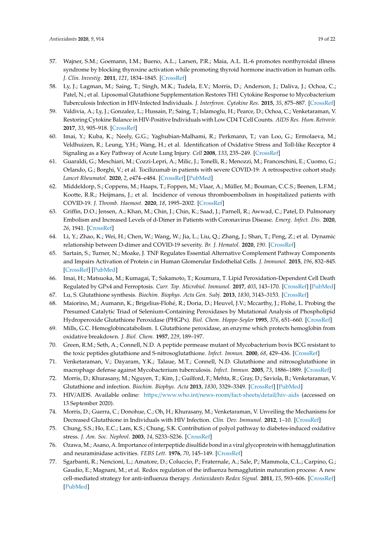- <span id="page-18-0"></span>57. Wajner, S.M.; Goemann, I.M.; Bueno, A.L.; Larsen, P.R.; Maia, A.L. IL-6 promotes nonthyroidal illness syndrome by blocking thyroxine activation while promoting thyroid hormone inactivation in human cells. *J. Clin. Investig.* **2011**, *121*, 1834–1845. [\[CrossRef\]](http://dx.doi.org/10.1172/JCI44678)
- <span id="page-18-1"></span>58. Ly, J.; Lagman, M.; Saing, T.; Singh, M.K.; Tudela, E.V.; Morris, D.; Anderson, J.; Daliva, J.; Ochoa, C.; Patel, N.; et al. Liposomal Glutathione Supplementation Restores TH1 Cytokine Response to Mycobacterium Tuberculosis Infection in HIV-Infected Individuals. *J. Interferon. Cytokine Res.* **2015**, *35*, 875–887. [\[CrossRef\]](http://dx.doi.org/10.1089/jir.2014.0210)
- <span id="page-18-2"></span>59. Valdivia, A.; Ly, J.; Gonzalez, L.; Hussain, P.; Saing, T.; Islamoglu, H.; Pearce, D.; Ochoa, C.; Venketaraman, V. Restoring Cytokine Balance in HIV-Positive Individuals with Low CD4 T Cell Counts. *AIDS Res. Hum. Retrovir.* **2017**, *33*, 905–918. [\[CrossRef\]](http://dx.doi.org/10.1089/aid.2016.0303)
- <span id="page-18-3"></span>60. Imai, Y.; Kuba, K.; Neely, G.G.; Yaghubian-Malhami, R.; Perkmann, T.; van Loo, G.; Ermolaeva, M.; Veldhuizen, R.; Leung, Y.H.; Wang, H.; et al. Identification of Oxidative Stress and Toll-like Receptor 4 Signaling as a Key Pathway of Acute Lung Injury. *Cell* **2008**, *133*, 235–249. [\[CrossRef\]](http://dx.doi.org/10.1016/j.cell.2008.02.043)
- <span id="page-18-4"></span>61. Guaraldi, G.; Meschiari, M.; Cozzi-Lepri, A.; Milic, J.; Tonelli, R.; Menozzi, M.; Franceschini, E.; Cuomo, G.; Orlando, G.; Borghi, V.; et al. Tocilizumab in patients with severe COVID-19: A retrospective cohort study. *Lancet Rheumatol.* **2020**, *2*, e474–e484. [\[CrossRef\]](http://dx.doi.org/10.1016/s2665-9913(20)30173-9) [\[PubMed\]](http://www.ncbi.nlm.nih.gov/pubmed/32835257)
- <span id="page-18-5"></span>62. Middeldorp, S.; Coppens, M.; Haaps, T.; Foppen, M.; Vlaar, A.; Müller, M.; Bouman, C.C.S.; Beenen, L.F.M.; Kootte, R.R.; Heijmans, J.; et al. Incidence of venous thromboembolism in hospitalized patients with COVID-19. *J. Thromb. Haemost.* **2020**, *18*, 1995–2002. [\[CrossRef\]](http://dx.doi.org/10.1111/jth.14888)
- <span id="page-18-6"></span>63. Griffin, D.O.; Jensen, A.; Khan, M.; Chin, J.; Chin, K.; Saad, J.; Parnell, R.; Awwad, C.; Patel, D. Pulmonary Embolism and Increased Levels of d-Dimer in Patients with Coronavirus Disease. *Emerg. Infect. Dis.* **2020**, *26*, 1941. [\[CrossRef\]](http://dx.doi.org/10.3201/eid2608.201477)
- <span id="page-18-7"></span>64. Li, Y.; Zhao, K.; Wei, H.; Chen, W.; Wang, W.; Jia, L.; Liu, Q.; Zhang, J.; Shan, T.; Peng, Z.; et al. Dynamic relationship between D-dimer and COVID-19 severity. *Br. J. Hematol.* **2020**, *190*. [\[CrossRef\]](http://dx.doi.org/10.1111/bjh.16811)
- <span id="page-18-8"></span>65. Sartain, S.; Turner, N.; Moake, J. TNF Regulates Essential Alternative Complement Pathway Components and Impairs Activation of Protein c in Human Glomerular Endothelial Cells. *J. Immunol.* **2015**, *196*, 832–845. [\[CrossRef\]](http://dx.doi.org/10.4049/jimmunol.1500960) [\[PubMed\]](http://www.ncbi.nlm.nih.gov/pubmed/26673143)
- <span id="page-18-9"></span>66. Imai, H.; Matsuoka, M.; Kumagai, T.; Sakamoto, T.; Koumura, T. Lipid Peroxidation-Dependent Cell Death Regulated by GPx4 and Ferroptosis. *Curr. Top. Microbiol. Immunol.* **2017**, *403*, 143–170. [\[CrossRef\]](http://dx.doi.org/10.1007/82_2016_508) [\[PubMed\]](http://www.ncbi.nlm.nih.gov/pubmed/28204974)
- <span id="page-18-11"></span><span id="page-18-10"></span>67. Lu, S. Glutathione synthesis. *Biochim. Biophys. Acta Gen. Subj.* **2013**, *1830*, 3143–3153. [\[CrossRef\]](http://dx.doi.org/10.1016/j.bbagen.2012.09.008)
- 68. Maiorino, M.; Aumann, K.; Brigelius-Flohé, R.; Doria, D.; Heuvel, J.V.; Mccarthy, J.; Flohé, L. Probing the Presumed Catalytic Triad of Selenium-Containing Peroxidases by Mutational Analysis of Phospholipid Hydroperoxide Glutathione Peroxidase (PHGPx). *Biol. Chem. Hoppe-Seyler* **1995**, *376*, 651–660. [\[CrossRef\]](http://dx.doi.org/10.1515/bchm3.1995.376.11.651)
- <span id="page-18-12"></span>69. Mills, G.C. Hemoglobincatabolism. I. Glutathione peroxidase, an enzyme which protects hemoglobin from oxidative breakdown. *J. Biol. Chem.* **1957**, *229*, 189–197.
- <span id="page-18-13"></span>70. Green, R.M.; Seth, A.; Connell, N.D. A peptide permease mutant of Mycobacterium bovis BCG resistant to the toxic peptides glutathione and S-nitrosoglutathione. *Infect. Immun.* **2000**, *68*, 429–436. [\[CrossRef\]](http://dx.doi.org/10.1128/iai.68.2.429-436.2000)
- <span id="page-18-15"></span>71. Venketaraman, V.; Dayaram, Y.K.; Talaue, M.T.; Connell, N.D. Glutathione and nitrosoglutathione in macrophage defense against Mycobacterium tuberculosis. *Infect. Immun.* **2005**, *73*, 1886–1889. [\[CrossRef\]](http://dx.doi.org/10.1128/IAI.73.3.1886-1889.2005)
- <span id="page-18-16"></span>72. Morris, D.; Khurasany, M.; Nguyen, T.; Kim, J.; Guilford, F.; Mehta, R.; Gray, D.; Saviola, B.; Venketaraman, V. Glutathione and infection. *Biochim. Biophys. Acta* **2013**, *1830*, 3329–3349. [\[CrossRef\]](http://dx.doi.org/10.1016/j.bbagen.2012.10.012) [\[PubMed\]](http://www.ncbi.nlm.nih.gov/pubmed/23089304)
- <span id="page-18-14"></span>73. HIV/AIDS. Available online: https://[www.who.int](https://www.who.int/news-room/fact-sheets/detail/hiv-aids)/news-room/fact-sheets/detail/hiv-aids (accessed on 13 September 2020).
- <span id="page-18-17"></span>74. Morris, D.; Guerra, C.; Donohue, C.; Oh, H.; Khurasany, M.; Venketaraman, V. Unveiling the Mechanisms for Decreased Glutathione in Individuals with HIV Infection. *Clin. Dev. Immunol.* **2012**, 1–10. [\[CrossRef\]](http://dx.doi.org/10.1155/2012/734125)
- <span id="page-18-18"></span>75. Chung, S.S.; Ho, E.C.; Lam, K.S.; Chung, S.K. Contribution of polyol pathway to diabetes-induced oxidative stress. *J. Am. Soc. Nephrol.* **2003**, *14*, S233–S236. [\[CrossRef\]](http://dx.doi.org/10.1097/01.ASN.0000077408.15865.06)
- <span id="page-18-19"></span>76. Ozawa, M.; Asano, A. Importance of interpeptide disulfide bond in a viral glycoprotein with hemagglutination and neuraminidase activities. *FEBS Lett.* **1976**, *70*, 145–149. [\[CrossRef\]](http://dx.doi.org/10.1016/0014-5793(76)80745-4)
- <span id="page-18-20"></span>77. Sgarbanti, R.; Nencioni, L.; Amatore, D.; Coluccio, P.; Fraternale, A.; Sale, P.; Mammola, C.L.; Carpino, G.; Gaudio, E.; Magnani, M.; et al. Redox regulation of the influenza hemagglutinin maturation process: A new cell-mediated strategy for anti-influenza therapy. *Antioxidants Redox Signal.* **2011**, *15*, 593–606. [\[CrossRef\]](http://dx.doi.org/10.1089/ars.2010.3512) [\[PubMed\]](http://www.ncbi.nlm.nih.gov/pubmed/21366409)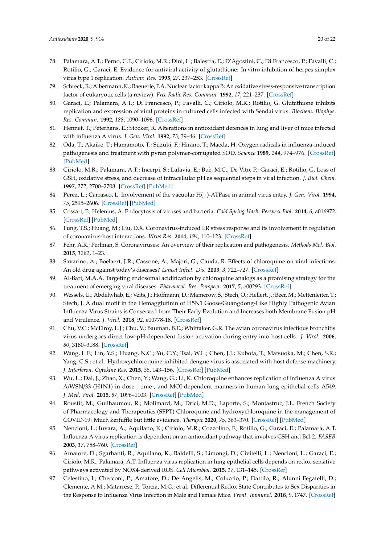- <span id="page-19-0"></span>78. Palamara, A.T.; Perno, C.F.; Ciriolo, M.R.; Dini, L.; Balestra, E.; D'Agostini, C.; Di Francesco, P.; Favalli, C.; Rotilio, G.; Garaci, E. Evidence for antiviral activity of glutathione: In vitro inhibition of herpes simplex virus type 1 replication. *Antivir. Res.* **1995**, *27*, 237–253. [\[CrossRef\]](http://dx.doi.org/10.1016/0166-3542(95)00008-A)
- 79. Schreck, R.; Albermann, K.; Baeuerle, P.A. Nuclear factor kappa B: An oxidative stress-responsive transcription factor of eukaryotic cells (a review). *Free Radic Res. Commun.* **1992**, *17*, 221–237. [\[CrossRef\]](http://dx.doi.org/10.3109/10715769209079515)
- <span id="page-19-2"></span>80. Garaci, E.; Palamara, A.T.; Di Francesco, P.; Favalli, C.; Ciriolo, M.R.; Rotilio, G. Glutathione inhibits replication and expression of viral proteins in cultured cells infected with Sendai virus. *Biochem. Biophys. Res. Commun.* **1992**, *188*, 1090–1096. [\[CrossRef\]](http://dx.doi.org/10.1016/0006-291X(92)91343-O)
- 81. Hennet, T.; Peterhans, E.; Stocker, R. Alterations in antioxidant defences in lung and liver of mice infected with influenza A virus. *J. Gen. Virol.* **1992**, *73*, 39–46. [\[CrossRef\]](http://dx.doi.org/10.1099/0022-1317-73-1-39)
- <span id="page-19-1"></span>82. Oda, T.; Akaike, T.; Hamamoto, T.; Suzuki, F.; Hirano, T.; Maeda, H. Oxygen radicals in influenza-induced pathogenesis and treatment with pyran polymer-conjugated SOD. *Science* **1989**, *244*, 974–976. [\[CrossRef\]](http://dx.doi.org/10.1126/science.2543070) [\[PubMed\]](http://www.ncbi.nlm.nih.gov/pubmed/2543070)
- <span id="page-19-3"></span>83. Ciriolo, M.R.; Palamara, A.T.; Incerpi, S.; Lafavia, E.; Buè, M.C.; De Vito, P.; Garaci, E.; Rotilio, G. Loss of GSH, oxidative stress, and decrease of intracellular pH as sequential steps in viral infection. *J. Biol. Chem.* **1997**, *272*, 2700–2708. [\[CrossRef\]](http://dx.doi.org/10.1074/jbc.272.5.2700) [\[PubMed\]](http://www.ncbi.nlm.nih.gov/pubmed/9006907)
- <span id="page-19-4"></span>84. Pérez, L.; Carrasco, L. Involvement of the vacuolar H(+)-ATPase in animal virus entry. *J. Gen. Virol.* **1994**, *75*, 2595–2606. [\[CrossRef\]](http://dx.doi.org/10.1099/0022-1317-75-10-2595) [\[PubMed\]](http://www.ncbi.nlm.nih.gov/pubmed/7931146)
- <span id="page-19-5"></span>85. Cossart, P.; Helenius, A. Endocytosis of viruses and bacteria. *Cold Spring Harb. Perspect Biol.* **2014**, *6*, a016972. [\[CrossRef\]](http://dx.doi.org/10.1101/cshperspect.a016972) [\[PubMed\]](http://www.ncbi.nlm.nih.gov/pubmed/25085912)
- <span id="page-19-6"></span>86. Fung, T.S.; Huang, M.; Liu, D.X. Coronavirus-induced ER stress response and its involvement in regulation of coronavirus-host interactions. *Virus Res.* **2014**, *194*, 110–123. [\[CrossRef\]](http://dx.doi.org/10.1016/j.virusres.2014.09.016)
- <span id="page-19-7"></span>87. Fehr, A.R.; Perlman, S. Coronaviruses: An overview of their replication and pathogenesis. *Methods Mol. Biol.* **2015**, *1282*, 1–23.
- <span id="page-19-8"></span>88. Savarino, A.; Boelaert, J.R.; Cassone, A.; Majori, G.; Cauda, R. Effects of chloroquine on viral infections: An old drug against today's diseases? *Lancet Infect. Dis.* **2003**, *3*, 722–727. [\[CrossRef\]](http://dx.doi.org/10.1016/S1473-3099(03)00806-5)
- <span id="page-19-9"></span>89. Al-Bari, M.A.A. Targeting endosomal acidification by chloroquine analogs as a promising strategy for the treatment of emerging viral diseases. *Pharmacol. Res. Perspect.* **2017**, *5*, e00293. [\[CrossRef\]](http://dx.doi.org/10.1002/prp2.293)
- <span id="page-19-10"></span>90. Wessels, U.; Abdelwhab, E.; Veits, J.; Hoffmann, D.; Mamerow, S.; Stech, O.; Hellert, J.; Beer, M.; Mettenleiter, T.; Stech, J. A dual motif in the Hemagglutinin of H5N1 Goose/Guangdong-Like Highly Pathogenic Avian Influenza Virus Strains is Conserved from Their Early Evolution and Increases both Membrane Fusion pH and Virulence. *J. Virol.* **2018**, *92*, e00778-18. [\[CrossRef\]](http://dx.doi.org/10.1128/JVI.00778-18)
- <span id="page-19-11"></span>91. Chu, V.C.; McElroy, L.J.; Chu, V.; Bauman, B.E.; Whittaker, G.R. The avian coronavirus infectious bronchitis virus undergoes direct low-pH-dependent fusion activation during entry into host cells. *J. Virol.* **2006**, *80*, 3180–3188. [\[CrossRef\]](http://dx.doi.org/10.1128/JVI.80.7.3180-3188.2006)
- <span id="page-19-12"></span>92. Wang, L.F.; Lin, Y.S.; Huang, N.C.; Yu, C.Y.; Tsai, W.L.; Chen, J.J.; Kubota, T.; Matsuoka, M.; Chen, S.R.; Yang, C.S.; et al. Hydroxychloroquine-inhibited dengue virus is associated with host defense machinery. *J. Interferon. Cytokine Res.* **2015**, *35*, 143–156. [\[CrossRef\]](http://dx.doi.org/10.1089/jir.2014.0038) [\[PubMed\]](http://www.ncbi.nlm.nih.gov/pubmed/25321315)
- <span id="page-19-13"></span>93. Wu, L.; Dai, J.; Zhao, X.; Chen, Y.; Wang, G.; Li, K. Chloroquine enhances replication of influenza A virus A/WSN/33 (H1N1) in dose-, time-, and MOI-dependent manners in human lung epithelial cells A549. *J. Med. Virol.* **2015**, *87*, 1096–1103. [\[CrossRef\]](http://dx.doi.org/10.1002/jmv.24135) [\[PubMed\]](http://www.ncbi.nlm.nih.gov/pubmed/25715935)
- <span id="page-19-14"></span>94. Roustit, M.; Guilhaumou, R.; Molimard, M.; Drici, M.D.; Laporte, S.; Montastruc, J.L. French Society of Pharmacology and Therapeutics (SFPT) Chloroquine and hydroxychloroquine in the management of COVID-19: Much kerfuffle but little evidence. *Therapie* **2020**, *75*, 363–370. [\[CrossRef\]](http://dx.doi.org/10.1016/j.therap.2020.05.010) [\[PubMed\]](http://www.ncbi.nlm.nih.gov/pubmed/32473812)
- <span id="page-19-15"></span>95. Nencioni, L.; Iuvara, A.; Aquilano, K.; Ciriolo, M.R.; Cozzolino, F.; Rotilio, G.; Garaci, E.; Palamara, A.T. Influenza A virus replication is dependent on an antioxidant pathway that involves GSH and Bcl-2. *FASEB* **2003**, *17*, 758–760. [\[CrossRef\]](http://dx.doi.org/10.1096/fj.02-0508fje)
- <span id="page-19-16"></span>96. Amatore, D.; Sgarbanti, R.; Aquilano, K.; Baldelli, S.; Limongi, D.; Civitelli, L.; Nencioni, L.; Garaci, E.; Ciriolo, M.R.; Palamara, A.T. Influenza virus replication in lung epithelial cells depends on redox-sensitive pathways activated by NOX4-derived ROS. *Cell Microbiol.* **2015**, *17*, 131–145. [\[CrossRef\]](http://dx.doi.org/10.1111/cmi.12343)
- 97. Celestino, I.; Checconi, P.; Amatore, D.; De Angelis, M.; Coluccio, P.; Dattilo, R.; Alunni Fegatelli, D.; Clemente, A.M.; Matarrese, P.; Torcia, M.G.; et al. Differential Redox State Contributes to Sex Disparities in the Response to Influenza Virus Infection in Male and Female Mice. *Front. Immunol.* **2018**, *9*, 1747. [\[CrossRef\]](http://dx.doi.org/10.3389/fimmu.2018.01747)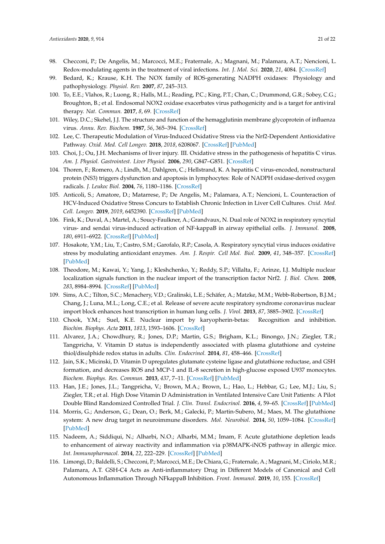- <span id="page-20-0"></span>98. Checconi, P.; De Angelis, M.; Marcocci, M.E.; Fraternale, A.; Magnani, M.; Palamara, A.T.; Nencioni, L. Redox-modulating agents in the treatment of viral infections. *Int. J. Mol. Sci.* **2020**, *21*, 4084. [\[CrossRef\]](http://dx.doi.org/10.3390/ijms21114084)
- <span id="page-20-1"></span>99. Bedard, K.; Krause, K.H. The NOX family of ROS-generating NADPH oxidases: Physiology and pathophysiology. *Physiol. Rev.* **2007**, *87*, 245–313.
- <span id="page-20-2"></span>100. To, E.E.; Vlahos, R.; Luong, R.; Halls, M.L.; Reading, P.C.; King, P.T.; Chan, C.; Drummond, G.R.; Sobey, C.G.; Broughton, B.; et al. Endosomal NOX2 oxidase exacerbates virus pathogenicity and is a target for antiviral therapy. *Nat. Commun.* **2017**, *8*, 69. [\[CrossRef\]](http://dx.doi.org/10.1038/s41467-017-00057-x)
- <span id="page-20-3"></span>101. Wiley, D.C.; Skehel, J.J. The structure and function of the hemagglutinin membrane glycoprotein of influenza virus. *Annu. Rev. Biochem.* **1987**, *56*, 365–394. [\[CrossRef\]](http://dx.doi.org/10.1146/annurev.bi.56.070187.002053)
- <span id="page-20-4"></span>102. Lee, C. Therapeutic Modulation of Virus-Induced Oxidative Stress via the Nrf2-Dependent Antioxidative Pathway. *Oxid. Med. Cell Longev.* **2018**, *2018*, 6208067. [\[CrossRef\]](http://dx.doi.org/10.1155/2018/6208067) [\[PubMed\]](http://www.ncbi.nlm.nih.gov/pubmed/30515256)
- <span id="page-20-5"></span>103. Choi, J.; Ou, J.H. Mechanisms of liver injury. III. Oxidative stress in the pathogenesis of hepatitis C virus. *Am. J. Physiol. Gastrointest. Liver Physiol.* **2006**, *290*, G847–G851. [\[CrossRef\]](http://dx.doi.org/10.1152/ajpgi.00522.2005)
- <span id="page-20-6"></span>104. Thoren, F.; Romero, A.; Lindh, M.; Dahlgren, C.; Hellstrand, K. A hepatitis C virus-encoded, nonstructural protein (NS3) triggers dysfunction and apoptosis in lymphocytes: Role of NADPH oxidase-derived oxygen radicals. *J. Leukoc Biol.* **2004**, *76*, 1180–1186. [\[CrossRef\]](http://dx.doi.org/10.1189/jlb.0704387)
- <span id="page-20-7"></span>105. Anticoli, S.; Amatore, D.; Matarrese, P.; De Angelis, M.; Palamara, A.T.; Nencioni, L. Counteraction of HCV-Induced Oxidative Stress Concurs to Establish Chronic Infection in Liver Cell Cultures. *Oxid. Med. Cell. Longev.* **2019**, *2019*, 6452390. [\[CrossRef\]](http://dx.doi.org/10.1155/2019/6452390) [\[PubMed\]](http://www.ncbi.nlm.nih.gov/pubmed/30906503)
- <span id="page-20-8"></span>106. Fink, K.; Duval, A.; Martel, A.; Soucy-Faulkner, A.; Grandvaux, N. Dual role of NOX2 in respiratory syncytial virus- and sendai virus-induced activation of NF-kappaB in airway epithelial cells. *J. Immunol.* **2008**, *180*, 6911–6922. [\[CrossRef\]](http://dx.doi.org/10.4049/jimmunol.180.10.6911) [\[PubMed\]](http://www.ncbi.nlm.nih.gov/pubmed/18453612)
- <span id="page-20-9"></span>107. Hosakote, Y.M.; Liu, T.; Castro, S.M.; Garofalo, R.P.; Casola, A. Respiratory syncytial virus induces oxidative stress by modulating antioxidant enzymes. *Am. J. Respir. Cell Mol. Biol.* **2009**, *41*, 348–357. [\[CrossRef\]](http://dx.doi.org/10.1165/rcmb.2008-0330OC) [\[PubMed\]](http://www.ncbi.nlm.nih.gov/pubmed/19151318)
- <span id="page-20-10"></span>108. Theodore, M.; Kawai, Y.; Yang, J.; Kleshchenko, Y.; Reddy, S.P.; Villalta, F.; Arinze, I.J. Multiple nuclear localization signals function in the nuclear import of the transcription factor Nrf2. *J. Biol. Chem.* **2008**, *283*, 8984–8994. [\[CrossRef\]](http://dx.doi.org/10.1074/jbc.M709040200) [\[PubMed\]](http://www.ncbi.nlm.nih.gov/pubmed/18238777)
- <span id="page-20-11"></span>109. Sims, A.C.; Tilton, S.C.; Menachery, V.D.; Gralinski, L.E.; Schäfer, A.; Matzke, M.M.; Webb-Robertson, B.J.M.; Chang, J.; Luna, M.L.; Long, C.E.; et al. Release of severe acute respiratory syndrome coronavirus nuclear import block enhances host transcription in human lung cells. *J. Virol.* **2013**, *87*, 3885–3902. [\[CrossRef\]](http://dx.doi.org/10.1128/JVI.02520-12)
- <span id="page-20-12"></span>110. Chook, Y.M.; Suel, K.E. Nuclear import by karyopherin-betas: Recognition and inhibition. *Biochim. Biophys. Acta* **2011**, *1813*, 1593–1606. [\[CrossRef\]](http://dx.doi.org/10.1016/j.bbamcr.2010.10.014)
- <span id="page-20-13"></span>111. Alvarez, J.A.; Chowdhury, R.; Jones, D.P.; Martin, G.S.; Brigham, K.L.; Binongo, J.N.; Ziegler, T.R.; Tangpricha, V. Vitamin D status is independently associated with plasma glutathione and cysteine thiol/disulphide redox status in adults. *Clin. Endocrinol.* **2014**, *81*, 458–466. [\[CrossRef\]](http://dx.doi.org/10.1111/cen.12449)
- <span id="page-20-14"></span>112. Jain, S.K.; Micinski, D. Vitamin D upregulates glutamate cysteine ligase and glutathione reductase, and GSH formation, and decreases ROS and MCP-1 and IL-8 secretion in high-glucose exposed U937 monocytes. *Biochem. Biophys. Res. Commun.* **2013**, *437*, 7–11. [\[CrossRef\]](http://dx.doi.org/10.1016/j.bbrc.2013.06.004) [\[PubMed\]](http://www.ncbi.nlm.nih.gov/pubmed/23770363)
- <span id="page-20-15"></span>113. Han, J.E.; Jones, J.L.; Tangpricha, V.; Brown, M.A.; Brown, L.; Hao, L.; Hebbar, G.; Lee, M.J.; Liu, S.; Ziegler, T.R.; et al. High Dose Vitamin D Administration in Ventilated Intensive Care Unit Patients: A Pilot Double Blind Randomized Controlled Trial. *J. Clin. Transl. Endocrinol.* **2016**, *4*, 59–65. [\[CrossRef\]](http://dx.doi.org/10.1016/j.jcte.2016.04.004) [\[PubMed\]](http://www.ncbi.nlm.nih.gov/pubmed/27419080)
- <span id="page-20-16"></span>114. Morris, G.; Anderson, G.; Dean, O.; Berk, M.; Galecki, P.; Martin-Subero, M.; Maes, M. The glutathione system: A new drug target in neuroimmune disorders. *Mol. Neurobiol.* **2014**, *50*, 1059–1084. [\[CrossRef\]](http://dx.doi.org/10.1007/s12035-014-8705-x) [\[PubMed\]](http://www.ncbi.nlm.nih.gov/pubmed/24752591)
- <span id="page-20-17"></span>115. Nadeem, A.; Siddiqui, N.; Alharbi, N.O.; Alharbi, M.M.; Imam, F. Acute glutathione depletion leads to enhancement of airway reactivity and inflammation via p38MAPK-iNOS pathway in allergic mice. *Int. Immunopharmacol.* **2014**, *22*, 222–229. [\[CrossRef\]](http://dx.doi.org/10.1016/j.intimp.2014.06.030) [\[PubMed\]](http://www.ncbi.nlm.nih.gov/pubmed/24978607)
- <span id="page-20-18"></span>116. Limongi, D.; Baldelli, S.; Checconi, P.; Marcocci, M.E.; De Chiara, G.; Fraternale, A.; Magnani, M.; Ciriolo, M.R.; Palamara, A.T. GSH-C4 Acts as Anti-inflammatory Drug in Different Models of Canonical and Cell Autonomous Inflammation Through NFkappaB Inhibition. *Front. Immunol.* **2019**, *10*, 155. [\[CrossRef\]](http://dx.doi.org/10.3389/fimmu.2019.00155)